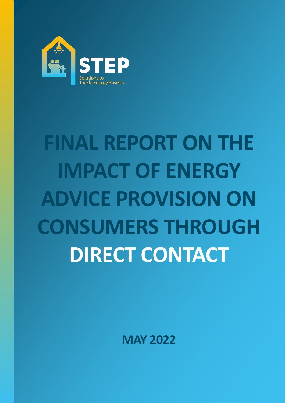

# **FINAL REPORT ON THE IMPACT OF ENERGY ADVICE PROVISION ON CONSUMERS THROUGH DIRECT CONTACT**

**MAY 2022**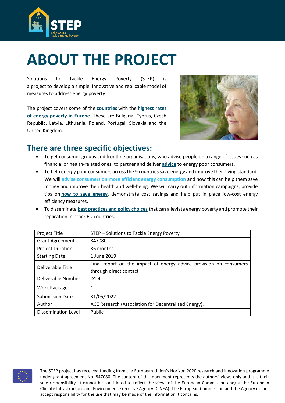

# <span id="page-1-0"></span>**ABOUT THE PROJECT**

Solutions to Tackle Energy Poverty (STEP) is a project to develop a simple, innovative and replicable model of measures to address energy poverty.

The project covers some of the **[countries](https://www.stepenergy.eu/partners/)** with the **[highest rates](https://www.energypoverty.eu/)  [of energy poverty in Europe](https://www.energypoverty.eu/)**. These are Bulgaria, Cyprus, Czech Republic, Latvia, Lithuania, Poland, Portugal, Slovakia and the United Kingdom.



### **There are three specific objectives:**

- To get consumer groups and frontline organisations, who advise people on a range of issues such as financial or health-related ones, to partner and deliver **[advice](https://www.stepenergy.eu/news/)** to energy poor consumers.
- To help energy poor consumers across the 9 countries save energy and improve their living standard. We will **advise consumers on more efficient energy consumption** and how this can help them save money and improve their health and well-being. We will carry out information campaigns, provide tips on **[how to save energy](https://www.stepenergy.eu/resources/)**, demonstrate cost savings and help put in place low-cost energy efficiency measures.
- To disseminate **[best practices and policy choices](https://www.stepenergy.eu/results/)** that can alleviate energy poverty and promote their replication in other EU countries.

| <b>Project Title</b>       | STEP - Solutions to Tackle Energy Poverty                          |  |  |  |
|----------------------------|--------------------------------------------------------------------|--|--|--|
| <b>Grant Agreement</b>     | 847080                                                             |  |  |  |
| <b>Project Duration</b>    | 36 months                                                          |  |  |  |
| <b>Starting Date</b>       | 1 June 2019                                                        |  |  |  |
| Deliverable Title          | Final report on the impact of energy advice provision on consumers |  |  |  |
|                            | through direct contact                                             |  |  |  |
| Deliverable Number         | D1.4                                                               |  |  |  |
| <b>Work Package</b>        | 1                                                                  |  |  |  |
| <b>Submission Date</b>     | 31/05/2022                                                         |  |  |  |
| Author                     | ACE Research (Association for Decentralised Energy).               |  |  |  |
| <b>Dissemination Level</b> | Public                                                             |  |  |  |

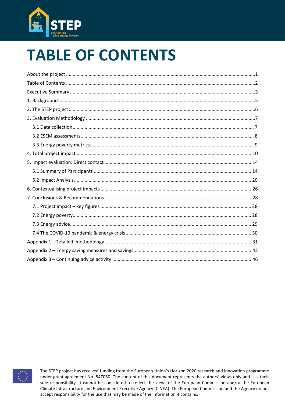

# <span id="page-2-0"></span>**TABLE OF CONTENTS**

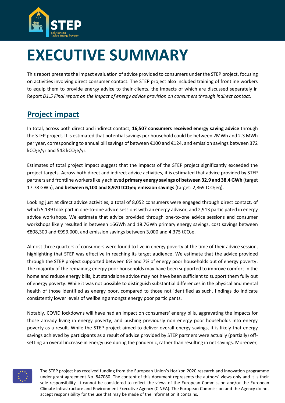

# <span id="page-3-0"></span>**EXECUTIVE SUMMARY**

This report presents the impact evaluation of advice provided to consumers under the STEP project, focusing on activities involving direct consumer contact. The STEP project also included training of frontline workers to equip them to provide energy advice to their clients, the impacts of which are discussed separately in Report *D1.5 Final report on the impact of energy advice provision on consumers through indirect contact*.

## **Project impact**

In total, across both direct and indirect contact, **16,507 consumers received energy saving advice** through the STEP project. It is estimated that potential savings per household could be between 2MWh and 2.3 MWh per year, corresponding to annual bill savings of between €100 and €124, and emission savings between 372  $kCO<sub>2</sub>e/yr$  and 543 kCO<sub>2</sub>e/yr.

Estimates of total project impact suggest that the impacts of the STEP project significantly exceeded the project targets. Across both direct and indirect advice activities, it is estimated that advice provided by STEP partners and frontline workers likely achieved **primary energy savings of between 32.9 and 38.4 GWh** (target 17.78 GWh), **and between 6,100 and 8,970 tCO2eq emission savings** (target: 2,869 tCO2eq).

Looking just at direct advice activities, a total of 8,052 consumers were engaged through direct contact, of which 5,139 took part in one-to-one advice sessions with an energy advisor, and 2,913 participated in energy advice workshops. We estimate that advice provided through one-to-one advice sessions and consumer workshops likely resulted in between 16GWh and 18.7GWh primary energy savings, cost savings between €808,300 and €999,000, and emission savings between 3,000 and 4,375 tCO2e.

Almost three quarters of consumers were found to live in energy poverty at the time of their advice session, highlighting that STEP was effective in reaching its target audience. We estimate that the advice provided through the STEP project supported between 6% and 7% of energy poor households out of energy poverty. The majority of the remaining energy poor households may have been supported to improve comfort in the home and reduce energy bills, but standalone advice may not have been sufficient to support them fully out of energy poverty. While it was not possible to distinguish substantial differences in the physical and mental health of those identified as energy poor, compared to those not identified as such, findings do indicate consistently lower levels of wellbeing amongst energy poor participants.

Notably, COVID lockdowns will have had an impact on consumers' energy bills, aggravating the impacts for those already living in energy poverty, and pushing previously non energy poor households into energy poverty as a result. While the STEP project aimed to deliver overall energy savings, it is likely that energy savings achieved by participants as a result of advice provided by STEP partners were actually (partially) offsetting an overall increase in energy use during the pandemic, rather than resulting in net savings. Moreover,

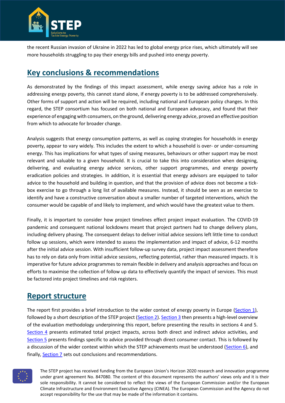

the recent Russian invasion of Ukraine in 2022 has led to global energy price rises, which ultimately will see more households struggling to pay their energy bills and pushed into energy poverty.

### **Key conclusions & recommendations**

As demonstrated by the findings of this impact assessment, while energy saving advice has a role in addressing energy poverty, this cannot stand alone, if energy poverty is to be addressed comprehensively. Other forms of support and action will be required, including national and European policy changes. In this regard, the STEP consortium has focused on both national and European advocacy, and found that their experience of engaging with consumers, on the ground, delivering energy advice, proved an effective position from which to advocate for broader change.

Analysis suggests that energy consumption patterns, as well as coping strategies for households in energy poverty, appear to vary widely. This includes the extent to which a household is over- or under-consuming energy. This has implications for what types of saving measures, behaviours or other support may be most relevant and valuable to a given household. It is crucial to take this into consideration when designing, delivering, and evaluating energy advice services, other support programmes, and energy poverty eradication policies and strategies. In addition, it is essential that energy advisors are equipped to tailor advice to the household and building in question, and that the provision of advice does not become a tickbox exercise to go through a long list of available measures. Instead, it should be seen as an exercise to identify and have a constructive conversation about a smaller number of targeted interventions, which the consumer would be capable of and likely to implement, and which would have the greatest value to them.

Finally, it is important to consider how project timelines effect project impact evaluation. The COVID-19 pandemic and consequent national lockdowns meant that project partners had to change delivery plans, including delivery phasing. The consequent delays to deliver initial advice sessions left little time to conduct follow up sessions, which were intended to assess the implementation and impact of advice, 6-12 months after the initial advice session. With insufficient follow-up survey data, project impact assessment therefore has to rely on data only from initial advice sessions, reflecting potential, rather than measured impacts. It is imperative for future advice programmes to remain flexible in delivery and analysis approaches and focus on efforts to maximise the collection of follow up data to effectively quantify the impact of services. This must be factored into project timelines and risk registers.

### **Report structure**

The report first provides a brief introduction to the wider context of energy poverty in Europe (Section 1), followed by a short description of the STEP project (Section 2). Section 3 then presents a high-level overview of the evaluation methodology underpinning this report, before presenting the results in sections 4 and 5. Section 4 presents estimated total project impacts, across both direct and indirect advice activities, and Section 5 presents findings specific to advice provided through direct consumer contact. This is followed by a discussion of the wider context within which the STEP achievements must be understood (Section 6), and finally, Section 7 sets out conclusions and recommendations.

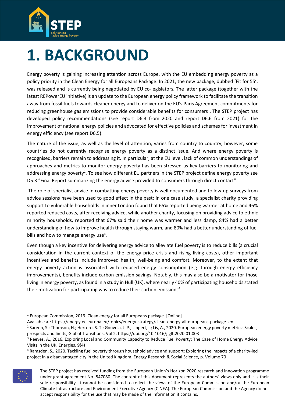

# <span id="page-5-0"></span>**1. BACKGROUND**

Energy poverty is gaining increasing attention across Europe, with the EU embedding energy poverty as a policy priority in the Clean Energy for all Europeans Package. In 2021, the new package, dubbed 'Fit for 55', was released and is currently being negotiated by EU co-legislators. The latter package (together with the latest REPowerEU initiative) is an update to the European energy policy framework to facilitate the transition away from fossil fuels towards cleaner energy and to deliver on the EU's Paris Agreement commitments for reducing greenhouse gas emissions to provide considerable benefits for consumers<sup>1</sup>. The STEP project has developed policy recommendations (see report D6.3 from 2020 and report D6.6 from 2021) for the improvement of national energy policies and advocated for effective policies and schemes for investment in energy efficiency (see report D6.5).

The nature of the issue, as well as the level of attention, varies from country to country, however, some countries do not currently recognise energy poverty as a distinct issue. And where energy poverty is recognised, barriers remain to addressing it. In particular, at the EU level, lack of common understandings of approaches and metrics to monitor energy poverty has been stressed as key barriers to monitoring and addressing energy poverty<sup>2</sup>. To see how different EU partners in the STEP project define energy poverty see D5.3 "Final Report summarizing the energy advice provided to consumers through direct contact".

The role of specialist advice in combatting energy poverty is well documented and follow-up surveys from advice sessions have been used to good effect in the past: in one case study, a specialist charity providing support to vulnerable households in inner London found that 65% reported being warmer at home and 46% reported reduced costs, after receiving advice, while another charity, focusing on providing advice to ethnic minority households, reported that 67% said their home was warmer and less damp, 84% had a better understanding of how to improve health through staying warm, and 80% had a better understanding of fuel bills and how to manage energy use<sup>3</sup>.

Even though a key incentive for delivering energy advice to alleviate fuel poverty is to reduce bills (a crucial consideration in the current context of the energy price crisis and rising living costs), other important incentives and benefits include improved health, well-being and comfort. Moreover, to the extent that energy poverty action is associated with reduced energy consumption (e.g. through energy efficiency improvements), benefits include carbon emission savings. Notably, this may also be a motivator for those living in energy poverty, as found in a study in Hull (UK), where nearly 40% of participating households stated their motivation for participating was to reduce their carbon emissions<sup>4</sup>.

<sup>4</sup> Ramsden, S., 2020. Tackling fuel poverty through household advice and support: Exploring the impacts of a charity-led project in a disadvantaged city in the United Kingdom. Energy Research & Social Science, p. Volume 70



The STEP project has received funding from the European Union's Horizon 2020 research and innovation programme under grant agreement No. 847080. The content of this document represents the authors' views only and it is their sole responsibility. It cannot be considered to reflect the views of the European Commission and/or the European Climate Infrastructure and Environment Executive Agency (CINEA). The European Commission and the Agency do not accept responsibility for the use that may be made of the information it contains.

 $1$  European Commission, 2019. Clean energy for all Europeans package. [Online]

Available at: https://energy.ec.europa.eu/topics/energy-strategy/clean-energy-all-europeans-package\_en

<sup>&</sup>lt;sup>2</sup> Sareen, S.; Thomson, H.; Herrero, S. T.; Gouveia, J. P.; Lippert, I.; Lis, A., 2020. European energy poverty metrics: Scales, prospects and limits, Global Transitions, Vol 2. https://doi.org/10.1016/j.glt.2020.01.003

<sup>&</sup>lt;sup>3</sup> Reeves, A., 2016. Exploring Local and Community Capacity to Reduce Fuel Poverty: The Case of Home Energy Advice Visits in the UK. Energies, 9(4)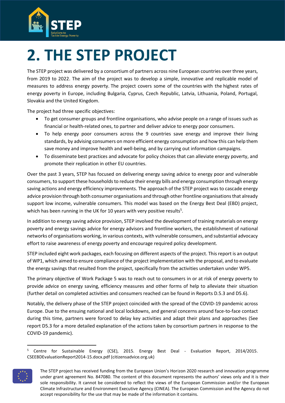

# <span id="page-6-0"></span>**2. THE STEP PROJECT**

The STEP project was delivered by a consortium of partners across nine European countries over three years, from 2019 to 2022. The aim of the project was to develop a simple, innovative and replicable model of measures to address energy poverty. The project covers some of the [countries](https://www.stepenergy.eu/partners/) with the [highest rates of](https://www.energypoverty.eu/)  [energy poverty in Europe,](https://www.energypoverty.eu/) including Bulgaria, Cyprus, Czech Republic, Latvia, Lithuania, Poland, Portugal, Slovakia and the United Kingdom.

The project had three specific objectives:

- To get consumer groups and frontline organisations, who advise people on a range of issues such as financial or health-related ones, to partner and deliver [advice](https://www.stepenergy.eu/news/) to energy poor consumers.
- To help energy poor consumers across the 9 countries save energy and improve their living standards, by advising consumers on more efficient energy consumption and how this can help them save money and improve health and well-being, and by carrying out information campaigns.
- To disseminate [best practices and advocate for policy choices](https://www.stepenergy.eu/results/) that can alleviate energy poverty, and promote their replication in other EU countries.

Over the past 3 years, STEP has focused on delivering energy saving advice to energy poor and vulnerable consumers, to support these households to reduce their energy bills and energy consumption through energy saving actions and energy efficiency improvements. The approach of the STEP project was to cascade energy advice provision through both consumer organisations and through other frontline organisations that already support low income, vulnerable consumers. This model was based on the Energy Best Deal (EBD) project, which has been running in the UK for 10 years with very positive results<sup>5</sup>.

In addition to energy saving advice provision, STEP involved the development of training materials on energy poverty and energy savings advice for energy advisors and frontline workers, the establishment of national networks of organisations working, in various contexts, with vulnerable consumers, and substantial advocacy effort to raise awareness of energy poverty and encourage required policy development.

STEP included eight work packages, each focusing on different aspects of the project. This report is an output of WP1, which aimed to ensure compliance of the project implementation with the proposal, and to evaluate the energy savings that resulted from the project, specifically from the activities undertaken under WP5.

The primary objective of Work Package 5 was to reach out to consumers in or at risk of energy poverty to provide advice on energy saving, efficiency measures and other forms of help to alleviate their situation (further detail on completed activities and consumers reached can be found in Reports D.5.3 and D5.6).

Notably, the delivery phase of the STEP project coincided with the spread of the COVID-19 pandemic across Europe. Due to the ensuing national and local lockdowns, and general concerns around face-to-face contact during this time, partners were forced to delay key activities and adapt their plans and approaches (See report D5.3 for a more detailed explanation of the actions taken by consortium partners in response to the COVID-19 pandemic).

<sup>&</sup>lt;sup>5</sup> Centre for Sustainable Energy (CSE), 2015. Energy Best Deal - Evaluation Report, 2014/2015. CSEEBDEvaluationReport2014-15.docx.pdf (citizensadvice.org.uk)



The STEP project has received funding from the European Union's Horizon 2020 research and innovation programme under grant agreement No. 847080. The content of this document represents the authors' views only and it is their sole responsibility. It cannot be considered to reflect the views of the European Commission and/or the European Climate Infrastructure and Environment Executive Agency (CINEA). The European Commission and the Agency do not accept responsibility for the use that may be made of the information it contains.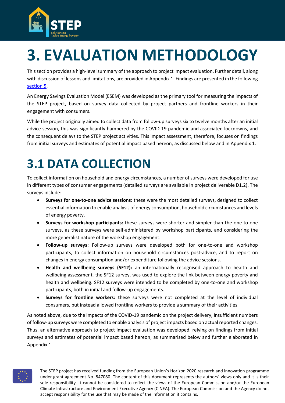

# <span id="page-7-0"></span>**3. EVALUATION METHODOLOGY**

This section provides a high-level summary of the approach to project impact evaluation. Further detail, along with discussion of lessons and limitations, are provided in Appendix 1. Findings are presented in the following [section 5.](#page-10-0)

An Energy Savings Evaluation Model (ESEM) was developed as the primary tool for measuring the impacts of the STEP project, based on survey data collected by project partners and frontline workers in their engagement with consumers.

While the project originally aimed to collect data from follow-up surveys six to twelve months after an initial advice session, this was significantly hampered by the COVID-19 pandemic and associated lockdowns, and the consequent delays to the STEP project activities. This impact assessment, therefore, focuses on findings from initial surveys and estimates of potential impact based hereon, as discussed below and in Appendix 1.

# <span id="page-7-1"></span>**3.1 DATA COLLECTION**

To collect information on household and energy circumstances, a number of surveys were developed for use in different types of consumer engagements (detailed surveys are available in project deliverable D1.2). The surveys include:

- **Surveys for one-to-one advice sessions:** these were the most detailed surveys, designed to collect essential information to enable analysis of energy consumption, household circumstances and levels of energy poverty.
- **Surveys for workshop participants:** these surveys were shorter and simpler than the one-to-one surveys, as these surveys were self-administered by workshop participants, and considering the more generalist nature of the workshop engagement.
- **Follow-up surveys:** Follow-up surveys were developed both for one-to-one and workshop participants, to collect information on household circumstances post-advice, and to report on changes in energy consumption and/or expenditure following the advice sessions.
- **Health and wellbeing surveys (SF12):** an internationally recognised approach to health and wellbeing assessment, the SF12 survey, was used to explore the link between energy poverty and health and wellbeing. SF12 surveys were intended to be completed by one-to-one and workshop participants, both in initial and follow-up engagements.
- **Surveys for frontline workers:** these surveys were not completed at the level of individual consumers, but instead allowed frontline workers to provide a summary of their activities.

As noted above, due to the impacts of the COVID-19 pandemic on the project delivery, insufficient numbers of follow-up surveys were completed to enable analysis of project impacts based on actual reported changes. Thus, an alternative approach to project impact evaluation was developed, relying on findings from initial surveys and estimates of potential impact based hereon, as summarised below and further elaborated in Appendix 1.

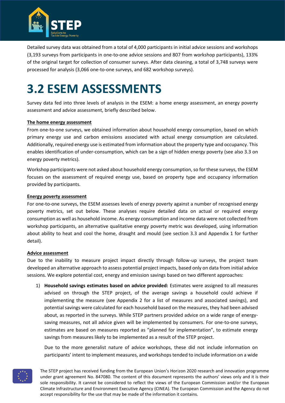

Detailed survey data was obtained from a total of 4,000 participants in initial advice sessions and workshops (3,193 surveys from participants in one-to-one advice sessions and 807 from workshop participants), 133% of the original target for collection of consumer surveys. After data cleaning, a total of 3,748 surveys were processed for analysis (3,066 one-to-one surveys, and 682 workshop surveys).

# <span id="page-8-0"></span>**3.2 ESEM ASSESSMENTS**

Survey data fed into three levels of analysis in the ESEM: a home energy assessment, an energy poverty assessment and advice assessment, briefly described below.

#### **The home energy assessment**

From one-to-one surveys, we obtained information about household energy consumption, based on which primary energy use and carbon emissions associated with actual energy consumption are calculated. Additionally, required energy use is estimated from information about the property type and occupancy. This enables identification of under-consumption, which can be a sign of hidden energy poverty (see also 3.3 on energy poverty metrics).

Workshop participants were not asked about household energy consumption, so for these surveys, the ESEM focuses on the assessment of required energy use, based on property type and occupancy information provided by participants.

#### **Energy poverty assessment**

For one-to-one surveys, the ESEM assesses levels of energy poverty against a number of recognised energy poverty metrics, set out below. These analyses require detailed data on actual or required energy consumption as well as household income. As energy consumption and income data were not collected from workshop participants, an alternative qualitative energy poverty metric was developed, using information about ability to heat and cool the home, draught and mould (see section 3.3 and Appendix 1 for further detail).

#### **Advice assessment**

Due to the inability to measure project impact directly through follow-up surveys, the project team developed an alternative approach to assess potential project impacts, based only on data from initial advice sessions. We explore potential cost, energy and emission savings based on two different approaches:

1) **Household savings estimates based on advice provided:** Estimates were assigned to all measures advised on through the STEP project, of the average savings a household could achieve if implementing the measure (see Appendix 2 for a list of measures and associated savings), and potential savings were calculated for each household based on the measures, they had been advised about, as reported in the surveys. While STEP partners provided advice on a wide range of energysaving measures, not all advice given will be implemented by consumers. For one-to-one surveys, estimates are based on measures reported as "planned for implementation", to estimate energy savings from measures likely to be implemented as a result of the STEP project.

Due to the more generalist nature of advice workshops, these did not include information on participants' intent to implement measures, and workshops tended to include information on a wide

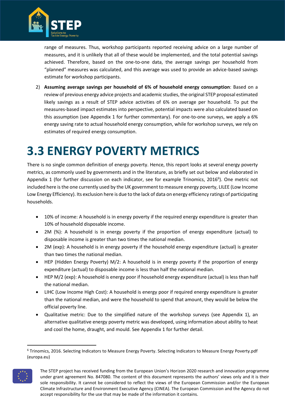

range of measures. Thus, workshop participants reported receiving advice on a large number of measures, and it is unlikely that all of these would be implemented, and the total potential savings achieved. Therefore, based on the one-to-one data, the average savings per household from "planned" measures was calculated, and this average was used to provide an advice-based savings estimate for workshop participants.

2) **Assuming average savings per household of 6% of household energy consumption**: Based on a review of previous energy advice projects and academic studies, the original STEP proposal estimated likely savings as a result of STEP advice activities of 6% on average per household. To put the measures-based impact estimates into perspective, potential impacts were also calculated based on this assumption (see Appendix 1 for further commentary). For one-to-one surveys, we apply a 6% energy saving rate to actual household energy consumption, while for workshop surveys, we rely on estimates of required energy consumption.

# <span id="page-9-0"></span>**3.3 ENERGY POVERTY METRICS**

There is no single common definition of energy poverty. Hence, this report looks at several energy poverty metrics, as commonly used by governments and in the literature, as briefly set out below and elaborated in Appendix 1 (for further discussion on each indicator, see for example Trinomics, 2016<sup>6</sup>). One metric not included here is the one currently used by the UK government to measure energy poverty, LILEE (Low Income Low Energy Efficiency). Its exclusion here is due to the lack of data on energy efficiency ratings of participating households.

- 10% of income: A household is in energy poverty if the required energy expenditure is greater than 10% of household disposable income.
- 2M (%): A household is in energy poverty if the proportion of energy expenditure (actual) to disposable income is greater than two times the national median.
- 2M (exp): A household is in energy poverty if the household energy expenditure (actual) is greater than two times the national median.
- HEP (Hidden Energy Poverty) M/2: A household is in energy poverty if the proportion of energy expenditure (actual) to disposable income is less than half the national median.
- HEP M/2 (exp): A household is energy poor if household energy expenditure (actual) is less than half the national median.
- LIHC (Low Income High Cost): A household is energy poor if required energy expenditure is greater than the national median, and were the household to spend that amount, they would be below the official poverty line.
- Qualitative metric: Due to the simplified nature of the workshop surveys (see Appendix 1), an alternative qualitative energy poverty metric was developed, using information about ability to heat and cool the home, draught, and mould. See Appendix 1 for further detail.

<sup>6</sup> Trinomics, 2016. Selecting Indicators to Measure Energy Poverty. Selecting Indicators to Measure Energy Poverty.pdf (europa.eu)



The STEP project has received funding from the European Union's Horizon 2020 research and innovation programme under grant agreement No. 847080. The content of this document represents the authors' views only and it is their sole responsibility. It cannot be considered to reflect the views of the European Commission and/or the European Climate Infrastructure and Environment Executive Agency (CINEA). The European Commission and the Agency do not accept responsibility for the use that may be made of the information it contains.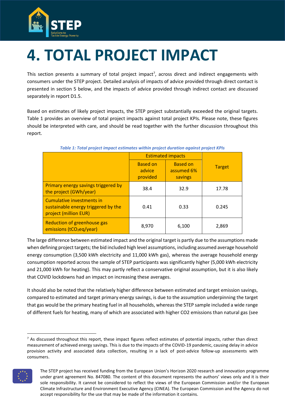

# <span id="page-10-0"></span>**4. TOTAL PROJECT IMPACT**

This section presents a summary of total project impact<sup>7</sup>, across direct and indirect engagements with consumers under the STEP project. Detailed analysis of impacts of advice provided through direct contact is presented in section 5 below, and the impacts of advice provided through indirect contact are discussed separately in report D1.5.

Based on estimates of likely project impacts, the STEP project substantially exceeded the original targets. Table 1 provides an overview of total project impacts against total project KPIs. Please note, these figures should be interpreted with care, and should be read together with the further discussion throughout this report.

|                                                                                           | <b>Estimated impacts</b>              |                                          |               |
|-------------------------------------------------------------------------------------------|---------------------------------------|------------------------------------------|---------------|
|                                                                                           | <b>Based on</b><br>advice<br>provided | <b>Based on</b><br>assumed 6%<br>savings | <b>Target</b> |
| Primary energy savings triggered by<br>the project (GWh/year)                             | 38.4                                  | 32.9                                     | 17.78         |
| Cumulative investments in<br>sustainable energy triggered by the<br>project (million EUR) | 0.41                                  | 0.33                                     | 0.245         |
| Reduction of greenhouse gas<br>emissions (tCO <sub>2</sub> eq/year)                       | 8,970                                 | 6,100                                    | 2,869         |

#### *Table 1: Total project impact estimates within project duration against project KPIs*

The large difference between estimated impact and the original target is partly due to the assumptions made when defining project targets; the bid included high level assumptions, including assumed average household energy consumption (3,500 kWh electricity and 11,000 kWh gas), whereas the average household energy consumption reported across the sample of STEP participants was significantly higher (5,000 kWh electricity and 21,000 kWh for heating). This may partly reflect a conservative original assumption, but it is also likely that COVID lockdowns had an impact on increasing these averages.

It should also be noted that the relatively higher difference between estimated and target emission savings, compared to estimated and target primary energy savings, is due to the assumption underpinning the target that gas would be the primary heating fuel in all households, whereas the STEP sample included a wide range of different fuels for heating, many of which are associated with higher CO2 emissions than natural gas (see

 $<sup>7</sup>$  As discussed throughout this report, these impact figures reflect estimates of potential impacts, rather than direct</sup> measurement of achieved energy savings. This is due to the impacts of the COVID-19 pandemic, causing delay in advice provision activity and associated data collection, resulting in a lack of post-advice follow-up assessments with consumers.



The STEP project has received funding from the European Union's Horizon 2020 research and innovation programme under grant agreement No. 847080. The content of this document represents the authors' views only and it is their sole responsibility. It cannot be considered to reflect the views of the European Commission and/or the European Climate Infrastructure and Environment Executive Agency (CINEA). The European Commission and the Agency do not accept responsibility for the use that may be made of the information it contains.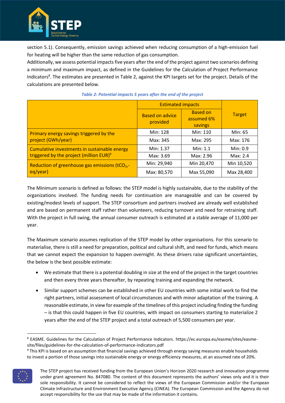

section 5.1). Consequently, emission savings achieved when reducing consumption of a high-emission fuel for heating will be higher than the same reduction of gas consumption.

Additionally, we assess potential impacts five years after the end of the project against two scenarios defining a minimum and maximum impact, as defined in the Guidelines for the Calculation of Project Performance Indicators<sup>8</sup>. The estimates are presented in Table 2, against the KPI targets set for the project. Details of the calculations are presented below.

|                                                            | <b>Estimated impacts</b>           |                                          |               |
|------------------------------------------------------------|------------------------------------|------------------------------------------|---------------|
|                                                            | <b>Based on advice</b><br>provided | <b>Based on</b><br>assumed 6%<br>savings | <b>Target</b> |
| Primary energy savings triggered by the                    | Min: 128                           | Min: 110                                 | Min: 65       |
| project (GWh/year)                                         | Max: 345                           | Max: 295                                 | Max: 176      |
| Cumulative investments in sustainable energy               | Min: 1.37                          | Min: 1.1                                 | Min: 0.9      |
| triggered by the project (million EUR) <sup>9</sup>        | Max: 3.69                          | Max: 2.96                                | Max: 2.4      |
| Reduction of greenhouse gas emissions (tCO <sub>2</sub> ,- | Min: 29,940                        | Min 20,470                               | Min 10,520    |
| eq/year)                                                   | Max: 80,570                        | Max 55,090                               | Max 28,400    |

#### *Table 2: Potential impacts 5 years after the end of the project*

The Minimum scenario is defined as follows: the STEP model is highly sustainable, due to the stability of the organizations involved. The funding needs for continuation are manageable and can be covered by existing/modest levels of support. The STEP consortium and partners involved are already well established and are based on permanent staff rather than volunteers, reducing turnover and need for retraining staff. With the project in full swing, the annual consumer outreach is estimated at a stable average of 11,000 per year.

The Maximum scenario assumes replication of the STEP model by other organisations. For this scenario to materialise, there is still a need for preparation, political and cultural shift, and need for funds, which means that we cannot expect the expansion to happen overnight. As these drivers raise significant uncertainties, the below is the best possible estimate:

- We estimate that there is a potential doubling in size at the end of the project in the target countries and then every three years thereafter, by repeating training and expanding the network.
- Similar support schemes can be established in other EU countries with some initial work to find the right partners, initial assessment of local circumstances and with minor adaptation of the training. A reasonable estimate, in view for example of the timelines of this project including finding the funding – is that this could happen in five EU countries, with impact on consumers starting to materialize 2 years after the end of the STEP project and a total outreach of 5,500 consumers per year.

<sup>&</sup>lt;sup>9</sup> This KPI is based on an assumption that financial savings achieved through energy saving measures enable households to invest a portion of those savings into sustainable energy or energy efficiency measures, at an assumed rate of 20%.



The STEP project has received funding from the European Union's Horizon 2020 research and innovation programme under grant agreement No. 847080. The content of this document represents the authors' views only and it is their sole responsibility. It cannot be considered to reflect the views of the European Commission and/or the European Climate Infrastructure and Environment Executive Agency (CINEA). The European Commission and the Agency do not accept responsibility for the use that may be made of the information it contains.

<sup>8</sup> EASME. Guidelines for the Calculation of Project Performance Indicators. https://ec.europa.eu/easme/sites/easmesite/files/guidelines-for-the-calculation-of-performance-indicators.pdf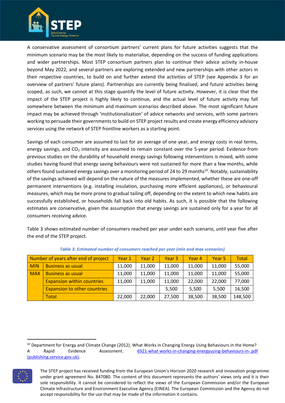

A conservative assessment of consortium partners' current plans for future activities suggests that the minimum scenario may be the most likely to materialise, depending on the success of funding applications and wider partnerships. Most STEP consortium partners plan to continue their advice activity in-house beyond May 2022, and several partners are exploring extended and new partnerships with other actors in their respective countries, to build on and further extend the activities of STEP (see Appendix 3 for an overview of partners' future plans). Partnerships are currently being finalised, and future activities being scoped, as such, we cannot at this stage quantify the level of future activity. However, it is clear that the impact of the STEP project is highly likely to continue, and the actual level of future activity may fall somewhere between the minimum and maximum scenarios described above. The most significant future impact may be achieved through 'institutionalization' of advice networks and services, with some partners working to persuade their governments to build on STEP project results and create energy efficiency advisory services using the network of STEP frontline workers as a starting point.

Savings of each consumer are assumed to last for an average of one year, and energy costs in real terms, energy savings, and  $CO<sub>2</sub>$  intensity are assumed to remain constant over the 5-year period. Evidence from previous studies on the durability of household energy savings following interventions is mixed, with some studies having found that energy saving behaviours were not sustained for more than a few months, while others found sustained energy savings over a monitoring period of 24 to 29 months<sup>10</sup>. Notably, sustainability of the savings achieved will depend on the nature of the measures implemented, whether these are one-off permanent interventions (e.g. installing insulation, purchasing more efficient appliances), or behavioural measures, which may be more prone to gradual tailing off, depending on the extent to which new habits are successfully established, or households fall back into old habits. As such, it is possible that the following estimates are conservative, given the assumption that energy savings are sustained only for a year for all consumers receiving advice.

Table 3 shows estimated number of consumers reached per year under each scenario, until year five after the end of the STEP project.

|            | Number of years after end of project | Year 1 | Year 2 | Year <sub>3</sub> | Year 4 | Year 5 | <b>Total</b> |
|------------|--------------------------------------|--------|--------|-------------------|--------|--------|--------------|
| <b>MIN</b> | <b>Business as usual</b>             | 11,000 | 11,000 | 11,000            | 11,000 | 11,000 | 55,000       |
| <b>MAX</b> | <b>Business as usual</b>             | 11,000 | 11,000 | 11,000            | 11,000 | 11,000 | 55,000       |
|            | <b>Expansion within countries</b>    | 11,000 | 11,000 | 11,000            | 22,000 | 22,000 | 77,000       |
|            | <b>Expansion to other countries</b>  |        |        | 5,500             | 5,500  | 5,500  | 16,500       |
|            | <b>Total</b>                         | 22,000 | 22,000 | 27,500            | 38,500 | 38,500 | 148,500      |

*Table 3: Estimated number of consumers reached per year (min and max scenarios)*

 $10$  Department for Energy and Climate Change (2012). What Works in Changing Energy Using Behaviours in the Home? A Rapid Evidence Assessment. [6921-what-works-in-changing-energyusing-behaviours-in-.pdf](https://assets.publishing.service.gov.uk/government/uploads/system/uploads/attachment_data/file/69797/6921-what-works-in-changing-energyusing-behaviours-in-.pdf)  [\(publishing.service.gov.uk\).](https://assets.publishing.service.gov.uk/government/uploads/system/uploads/attachment_data/file/69797/6921-what-works-in-changing-energyusing-behaviours-in-.pdf)



The STEP project has received funding from the European Union's Horizon 2020 research and innovation programme under grant agreement No. 847080. The content of this document represents the authors' views only and it is their sole responsibility. It cannot be considered to reflect the views of the European Commission and/or the European Climate Infrastructure and Environment Executive Agency (CINEA). The European Commission and the Agency do not accept responsibility for the use that may be made of the information it contains.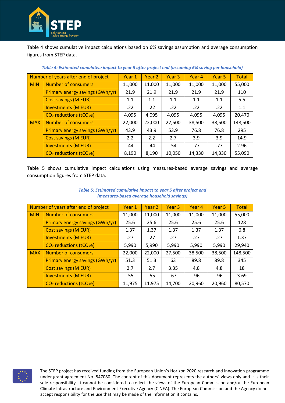

Table 4 shows cumulative impact calculations based on 6% savings assumption and average consumption figures from STEP data.

|            | Number of years after end of project  | Year 1 | Year 2 | Year 3 | Year 4 | Year 5 | Total   |
|------------|---------------------------------------|--------|--------|--------|--------|--------|---------|
| <b>MIN</b> | Number of consumers                   | 11,000 | 11,000 | 11,000 | 11,000 | 11,000 | 55,000  |
|            | Primary energy savings (GWh/yr)       | 21.9   | 21.9   | 21.9   | 21.9   | 21.9   | 110     |
|            | <b>Cost savings (M EUR)</b>           | 1.1    | 1.1    | 1.1    | 1.1    | 1.1    | 5.5     |
|            | <b>Investments (M EUR)</b>            | .22    | .22    | .22    | .22    | .22    | 1.1     |
|            | $CO2$ reductions (tCO <sub>2</sub> e) | 4,095  | 4,095  | 4,095  | 4,095  | 4,095  | 20,470  |
| <b>MAX</b> | <b>Number of consumers</b>            | 22,000 | 22,000 | 27,500 | 38,500 | 38,500 | 148,500 |
|            | Primary energy savings (GWh/yr)       | 43.9   | 43.9   | 53.9   | 76.8   | 76.8   | 295     |
|            | <b>Cost savings (M EUR)</b>           | 2.2    | 2.2    | 2.7    | 3.9    | 3.9    | 14.9    |
|            | <b>Investments (M EUR)</b>            | .44    | .44    | .54    | .77    | .77    | 2.96    |
|            | $CO2$ reductions (tCO <sub>2</sub> e) | 8,190  | 8,190  | 10,050 | 14,330 | 14,330 | 55,090  |

*Table 4: Estimated cumulative impact to year 5 after project end (assuming 6% saving per household)*

Table 5 shows cumulative impact calculations using measures-based average savings and average consumption figures from STEP data.

|            | Number of years after end of project            | Year 1 | Year 2 | Year 3 | Year 4 | Year <sub>5</sub> | Total   |
|------------|-------------------------------------------------|--------|--------|--------|--------|-------------------|---------|
| <b>MIN</b> | <b>Number of consumers</b>                      | 11,000 | 11,000 | 11,000 | 11,000 | 11,000            | 55,000  |
|            | Primary energy savings (GWh/yr)                 | 25.6   | 25.6   | 25.6   | 25.6   | 25.6              | 128     |
|            | <b>Cost savings (M EUR)</b>                     | 1.37   | 1.37   | 1.37   | 1.37   | 1.37              | 6.8     |
|            | <b>Investments (M EUR)</b>                      | .27    | .27    | .27    | .27    | .27               | 1.37    |
|            | CO <sub>2</sub> reductions (tCO <sub>2</sub> e) | 5,990  | 5,990  | 5,990  | 5,990  | 5,990             | 29,940  |
| <b>MAX</b> | Number of consumers                             | 22,000 | 22,000 | 27,500 | 38,500 | 38,500            | 148,500 |
|            | Primary energy savings (GWh/yr)                 | 51.3   | 51.3   | 63     | 89.8   | 89.8              | 345     |
|            | <b>Cost savings (M EUR)</b>                     | 2.7    | 2.7    | 3.35   | 4.8    | 4.8               | 18      |
|            | <b>Investments (M EUR)</b>                      | .55    | .55    | .67    | .96    | .96               | 3.69    |
|            | $CO2$ reductions (tCO <sub>2</sub> e)           | 11,975 | 11,975 | 14,700 | 20,960 | 20,960            | 80,570  |

#### *Table 5: Estimated cumulative impact to year 5 after project end (measures-based average household savings)*

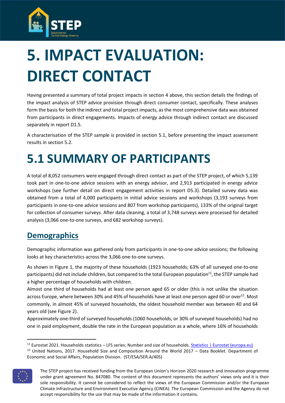

# <span id="page-14-0"></span>**5. IMPACT EVALUATION: DIRECT CONTACT**

Having presented a summary of total project impacts in section 4 above, this section details the findings of the impact analysis of STEP advice provision through direct consumer contact, specifically. These analyses form the basis for both the indirect and total project impacts, as the most comprehensive data was obtained from participants in direct engagements. Impacts of energy advice through indirect contact are discussed separately in report D1.5.

A characterisation of the STEP sample is provided in section 5.1, before presenting the impact assessment results in section 5.2.

# <span id="page-14-1"></span>**5.1 SUMMARY OF PARTICIPANTS**

A total of 8,052 consumers were engaged through direct contact as part of the STEP project, of which 5,139 took part in one-to-one advice sessions with an energy advisor, and 2,913 participated in energy advice workshops (see further detail on direct engagement activities in report D5.3). Detailed survey data was obtained from a total of 4,000 participants in initial advice sessions and workshops (3,193 surveys from participants in one-to-one advice sessions and 807 from workshop participants), 133% of the original target for collection of consumer surveys. After data cleaning, a total of 3,748 surveys were processed for detailed analysis (3,066 one-to-one surveys, and 682 workshop surveys).

### **Demographics**

Demographic information was gathered only from participants in one-to-one advice sessions; the following looks at key characteristics across the 3,066 one-to-one surveys.

As shown in [Figure 1,](#page-15-0) the majority of these households (1923 households; 63% of all surveyed one-to-one participants) did not include children, but compared to the total European population<sup>11</sup>, the STEP sample had a higher percentage of households with children.

Almost one third of households had at least one person aged 65 or older (this is not unlike the situation across Europe, where between 30% and 45% of households have at least one person aged 60 or over<sup>12</sup>. Most commonly, in almost 45% of surveyed households, the oldest household member was between 40 and 64 years old (se[e Figure 2\)](#page-15-1).

Approximately one-third of surveyed households (1060 households, or 30% of surveyed households) had no one in paid employment, double the rate in the European population as a whole, where 16% of households

<sup>11</sup> Eurostat 2021. Households statistics – LFS series; Number and size of households[. Statistics | Eurostat \(europa.eu\)](https://ec.europa.eu/eurostat/databrowser/view/LFST_HHNHWHTC/default/table?lang=en&category=labour.employ.lfst.lfst_hh.lfst_hh_n)  $12$  United Nations, 2017. Household Size and Composition Around the World 2017 – Data Booklet. Department of Economic and Social Affairs, Population Division. (ST/ESA/SER.A/405)



The STEP project has received funding from the European Union's Horizon 2020 research and innovation programme under grant agreement No. 847080. The content of this document represents the authors' views only and it is their sole responsibility. It cannot be considered to reflect the views of the European Commission and/or the European Climate Infrastructure and Environment Executive Agency (CINEA). The European Commission and the Agency do not accept responsibility for the use that may be made of the information it contains.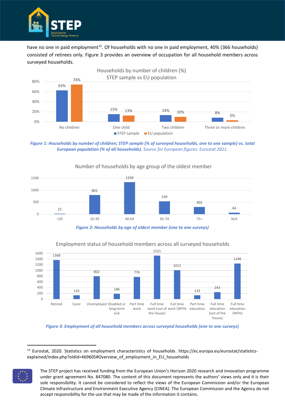

have no one in paid employment<sup>13</sup>. Of households with no one in paid employment, 40% (366 households) consisted of retirees only. [Figure 3](#page-15-2) provides an overview of occupation for all household members across surveyed households.



<span id="page-15-0"></span>*Figure 1: Households by number of children; STEP sample (% of surveyed households, one to one sample) vs. total European population (% of all households). Source for European figures: Eurostat 2021.*



#### Number of households by age group of the oldest member

*Figure 2: Households by age of oldest member (one to one surveys)*

<span id="page-15-1"></span>

Employment status of household members across all surveyed households

<sup>13</sup> Eurostat, 2020. Statistics on employment characteristics of households. https://ec.europa.eu/eurostat/statisticsexplained/index.php?oldid=469605#Overview\_of\_employment\_in\_EU\_households



The STEP project has received funding from the European Union's Horizon 2020 research and innovation programme under grant agreement No. 847080. The content of this document represents the authors' views only and it is their sole responsibility. It cannot be considered to reflect the views of the European Commission and/or the European Climate Infrastructure and Environment Executive Agency (CINEA). The European Commission and the Agency do not accept responsibility for the use that may be made of the information it contains.

<span id="page-15-2"></span>*Figure 3: Employment of all household members across surveyed households (one to one surveys)*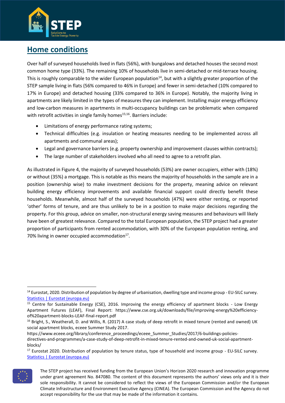

## **Home conditions**

Over half of surveyed households lived in flats (56%), with bungalows and detached houses the second most common home type (33%). The remaining 10% of households live in semi-detached or mid-terrace housing. This is roughly comparable to the wider European population<sup>14</sup>, but with a slightly greater proportion of the STEP sample living in flats (56% compared to 46% in Europe) and fewer in semi-detached (10% compared to 17% in Europe) and detached housing (33% compared to 36% in Europe). Notably, the majority living in apartments are likely limited in the types of measures they can implement. Installing major energy efficiency and low-carbon measures in apartments in multi-occupancy buildings can be problematic when compared with retrofit activities in single family homes<sup>15;16</sup>. Barriers include:

- Limitations of energy performance rating systems;
- Technical difficulties (e.g. insulation or heating measures needing to be implemented across all apartments and communal areas);
- Legal and governance barriers (e.g. property ownership and improvement clauses within contracts);
- The large number of stakeholders involved who all need to agree to a retrofit plan.

As illustrated i[n Figure 4,](#page-17-0) the majority of surveyed households (53%) are owner occupiers, either with (18%) or without (35%) a mortgage. This is notable as this means the majority of households in the sample are in a position (ownership wise) to make investment decisions for the property, meaning advice on relevant building energy efficiency improvements and available financial support could directly benefit these households. Meanwhile, almost half of the surveyed households (47%) were either renting, or reported 'other' forms of tenure, and are thus unlikely to be in a position to make major decisions regarding the property. For this group, advice on smaller, non-structural energy saving measures and behaviours will likely have been of greatest relevance. Compared to the total European population, the STEP project had a greater proportion of participants from rented accommodation, with 30% of the European population renting, and 70% living in owner occupied accommodation $^{17}$ .

<sup>&</sup>lt;sup>17</sup> Eurostat 2020. Distribution of population by tenure status, type of household and income group - EU-SILC survey. [Statistics | Eurostat \(europa.eu\)](https://ec.europa.eu/eurostat/databrowser/view/ILC_LVHO02__custom_1513577/bookmark/table?lang=en&bookmarkId=776c7a00-1a0a-4818-aeae-8c08024912a9)



The STEP project has received funding from the European Union's Horizon 2020 research and innovation programme under grant agreement No. 847080. The content of this document represents the authors' views only and it is their sole responsibility. It cannot be considered to reflect the views of the European Commission and/or the European Climate Infrastructure and Environment Executive Agency (CINEA). The European Commission and the Agency do not accept responsibility for the use that may be made of the information it contains.

<sup>&</sup>lt;sup>14</sup> Eurostat, 2020. Distribution of population by degree of urbanisation, dwelling type and income group - EU-SILC survey. [Statistics | Eurostat \(europa.eu\)](https://ec.europa.eu/eurostat/databrowser/view/ILC_LVHO01__custom_2784308/default/table?lang=en)

<sup>15</sup> Centre for Sustainable Energy (CSE), 2016. Improving the energy efficiency of apartment blocks - Low Energy Apartment Futures (LEAF), Final Report: https://www.cse.org.uk/downloads/file/improving-energy%20efficiencyof%20apartment-blocks-LEAF-final-report.pdf

<sup>&</sup>lt;sup>16</sup> Bright, S., Weatherall, D. and Willis, R. (2017) A case study of deep retrofit in mixed tenure (rented and owned) UK social apartment blocks, eceee Summer Study 2017.

https://www.eceee.org/library/conference\_proceedings/eceee\_Summer\_Studies/2017/6-buildings-policiesdirectives-and-programmes/a-case-study-of-deep-retrofit-in-mixed-tenure-rented-and-owned-uk-social-apartmentblocks/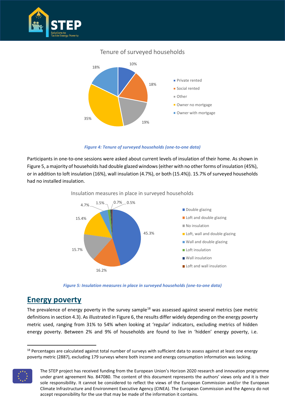

#### Tenure of surveyed households



*Figure 4: Tenure of surveyed households (one-to-one data)*

<span id="page-17-0"></span>Participants in one-to-one sessions were asked about current levels of insulation of their home. As shown in [Figure 5,](#page-17-1) a majority of households had double glazed windows (either with no other forms of insulation (45%), or in addition to loft insulation (16%), wall insulation (4.7%), or both (15.4%)). 15.7% of surveyed households had no installed insulation.



Insulation measures in place in surveyed households

*Figure 5: Insulation measures in place in surveyed households (one-to-one data)*

### <span id="page-17-1"></span>**Energy poverty**

The prevalence of energy poverty in the survey sample<sup>18</sup> was assessed against several metrics (see metric definitions in section 4.3). As illustrated in [Figure 6,](#page-18-0) the results differ widely depending on the energy poverty metric used, ranging from 31% to 54% when looking at 'regular' indicators, excluding metrics of hidden energy poverty. Between 2% and 9% of households are found to live in 'hidden' energy poverty, i.e.

 $18$  Percentages are calculated against total number of surveys with sufficient data to assess against at least one energy poverty metric (2887), excluding 179 surveys where both income and energy consumption information was lacking.



The STEP project has received funding from the European Union's Horizon 2020 research and innovation programme under grant agreement No. 847080. The content of this document represents the authors' views only and it is their sole responsibility. It cannot be considered to reflect the views of the European Commission and/or the European Climate Infrastructure and Environment Executive Agency (CINEA). The European Commission and the Agency do not accept responsibility for the use that may be made of the information it contains.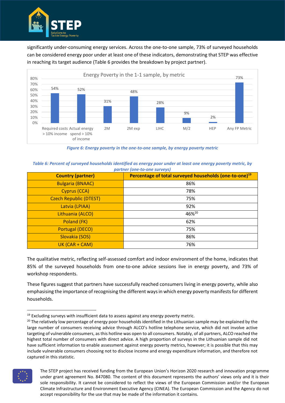

significantly under-consuming energy services. Across the one-to-one sample, 73% of surveyed households can be considered energy poor under at least one of these indicators, demonstrating that STEP was effective in reaching its target audience [\(Table 6](#page-18-1) provides the breakdown by project partner).



*Figure 6: Energy poverty in the one-to-one sample, by energy poverty metric*

<span id="page-18-1"></span><span id="page-18-0"></span>*Table 6: Percent of surveyed households identified as energy poor under at least one energy poverty metric, by partner (one-to-one surveys)*

| <b>Country (partner)</b>      | Percentage of total surveyed households (one-to-one) <sup>19</sup> |
|-------------------------------|--------------------------------------------------------------------|
| <b>Bulgaria (BNAAC)</b>       | 86%                                                                |
| Cyprus (CCA)                  | 78%                                                                |
| <b>Czech Republic (DTEST)</b> | 75%                                                                |
| Latvia (LPIAA)                | 92%                                                                |
| Lithuania (ALCO)              | 46%20                                                              |
| Poland (FK)                   | 62%                                                                |
| <b>Portugal (DECO)</b>        | 75%                                                                |
| Slovakia (SOS)                | 86%                                                                |
| UK (CAR + CAM)                | 76%                                                                |

The qualitative metric, reflecting self-assessed comfort and indoor environment of the home, indicates that 85% of the surveyed households from one-to-one advice sessions live in energy poverty, and 73% of workshop respondents.

These figures suggest that partners have successfully reached consumers living in energy poverty, while also emphasising the importance of recognising the different ways in which energy poverty manifests for different households.

<sup>&</sup>lt;sup>20</sup> The relatively low percentage of energy poor households identified in the Lithuanian sample may be explained by the large number of consumers receiving advice through ALCO's hotline telephone service, which did not involve active targeting of vulnerable consumers, as this hotline was open to all consumers. Notably, of all partners, ALCO reached the highest total number of consumers with direct advice. A high proportion of surveys in the Lithuanian sample did not have sufficient information to enable assessment against energy poverty metrics, however; it is possible that this may include vulnerable consumers choosing not to disclose income and energy expenditure information, and therefore not captured in this statistic.



The STEP project has received funding from the European Union's Horizon 2020 research and innovation programme under grant agreement No. 847080. The content of this document represents the authors' views only and it is their sole responsibility. It cannot be considered to reflect the views of the European Commission and/or the European Climate Infrastructure and Environment Executive Agency (CINEA). The European Commission and the Agency do not accept responsibility for the use that may be made of the information it contains.

 $19$  Excluding surveys with insufficient data to assess against any energy poverty metric.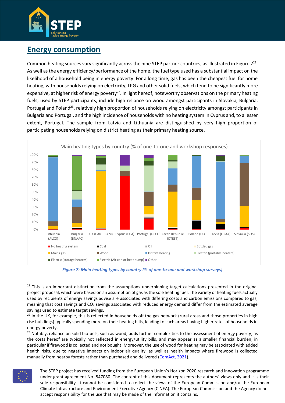

### **Energy consumption**

Common heating sources vary significantly across the nine STEP partner countries, as illustrated in Figure  $7^{21}$ . As well as the energy efficiency/performance of the home, the fuel type used has a substantial impact on the likelihood of a household being in energy poverty. For a long time, gas has been the cheapest fuel for home heating, with households relying on electricity, LPG and other solid fuels, which tend to be significantly more expensive, at higher risk of energy poverty $^{22}$ . In light hereof, noteworthy observations on the primary heating fuels, used by STEP participants, include high reliance on wood amongst participants in Slovakia, Bulgaria, Portugal and Poland<sup>23</sup>, relatively high proportion of households relying on electricity amongst participants in Bulgaria and Portugal, and the high incidence of households with no heating system in Cyprus and, to a lesser extent, Portugal. The sample from Latvia and Lithuania are distinguished by very high proportion of participating households relying on district heating as their primary heating source.





<span id="page-19-0"></span><sup>&</sup>lt;sup>21</sup> This is an important distinction from the assumptions underpinning target calculations presented in the original project proposal, which were based on an assumption of gas as the sole heating fuel. The variety of heating fuels actually used by recipients of energy savings advise are associated with differing costs and carbon emissions compared to gas, meaning that cost savings and CO<sub>2</sub> savings associated with reduced energy demand differ from the estimated average savings used to estimate target savings.

<sup>23</sup> Notably, reliance on solid biofuels, such as wood, adds further complexities to the assessment of energy poverty, as the costs hereof are typically not reflected in energy/utility bills, and may appear as a smaller financial burden, in particular if firewood is collected and not bought. Moreover, the use of wood for heating may be associated with added health risks, due to negative impacts on indoor air quality, as well as health impacts where firewood is collected manually from nearby forests rather than purchased and delivered [\(ComAct, 2021\)](https://www.bpie.eu/wp-content/uploads/2021/05/ComAct-D1.1_Overview-report-on-the-energy-poverty-concept_Final-version_UPDATED-1.pdf).



 $22$  In the UK, for example, this is reflected in households off the gas network (rural areas and those properties in high rise buildings) typically spending more on their heating bills, leading to such areas having higher rates of households in energy poverty.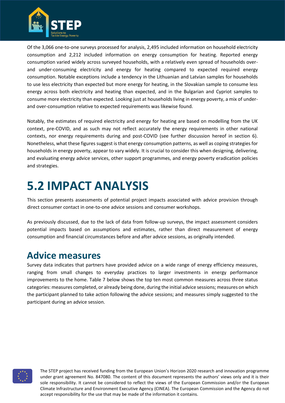

Of the 3,066 one-to-one surveys processed for analysis, 2,495 included information on household electricity consumption and 2,212 included information on energy consumption for heating. Reported energy consumption varied widely across surveyed households, with a relatively even spread of households overand under-consuming electricity and energy for heating compared to expected required energy consumption. Notable exceptions include a tendency in the Lithuanian and Latvian samples for households to use less electricity than expected but more energy for heating, in the Slovakian sample to consume less energy across both electricity and heating than expected, and in the Bulgarian and Cypriot samples to consume more electricity than expected. Looking just at households living in energy poverty, a mix of underand over-consumption relative to expected requirements was likewise found.

Notably, the estimates of required electricity and energy for heating are based on modelling from the UK context, pre-COVID, and as such may not reflect accurately the energy requirements in other national contexts, nor energy requirements during and post-COVID (see further discussion hereof in section 6). Nonetheless, what these figures suggest is that energy consumption patterns, as well as coping strategies for households in energy poverty, appear to vary widely. It is crucial to consider this when designing, delivering, and evaluating energy advice services, other support programmes, and energy poverty eradication policies and strategies.

# <span id="page-20-0"></span>**5.2 IMPACT ANALYSIS**

This section presents assessments of potential project impacts associated with advice provision through direct consumer contact in one-to-one advice sessions and consumer workshops.

As previously discussed, due to the lack of data from follow-up surveys, the impact assessment considers potential impacts based on assumptions and estimates, rather than direct measurement of energy consumption and financial circumstances before and after advice sessions, as originally intended.

## **Advice measures**

Survey data indicates that partners have provided advice on a wide range of energy efficiency measures, ranging from small changes to everyday practices to larger investments in energy performance improvements to the home. Table 7 below shows the top ten most common measures across three status categories: measures completed, or already being done, during the initial advice sessions; measures on which the participant planned to take action following the advice sessions; and measures simply suggested to the participant during an advice session.

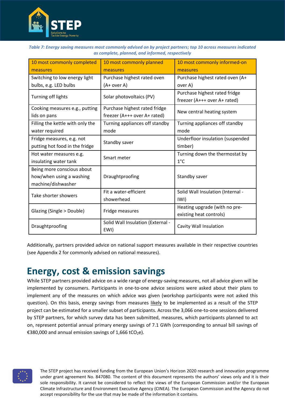

| Table 7: Energy saving measures most commonly advised on by project partners; top 10 across measures indicated |  |
|----------------------------------------------------------------------------------------------------------------|--|
| as complete, planned, and informed, respectively                                                               |  |

| 10 most commonly completed<br>measures                                       | 10 most commonly planned<br>measures                          | 10 most commonly informed-on<br>measures                      |
|------------------------------------------------------------------------------|---------------------------------------------------------------|---------------------------------------------------------------|
| Switching to low energy light<br>bulbs, e.g. LED bulbs                       | Purchase highest rated oven<br>(A+ over A)                    | Purchase highest rated oven (A+<br>over A)                    |
| Turning off lights                                                           | Solar photovoltaics (PV)                                      | Purchase highest rated fridge<br>freezer (A+++ over A+ rated) |
| Cooking measures e.g., putting<br>lids on pans                               | Purchase highest rated fridge<br>freezer (A+++ over A+ rated) | New central heating system                                    |
| Filling the kettle with only the<br>water required                           | Turning appliances off standby<br>mode                        | Turning appliances off standby<br>mode                        |
| Fridge measures, e.g. not<br>putting hot food in the fridge                  | Standby saver                                                 | Underfloor insulation (suspended<br>timber)                   |
| Hot water measures e.g.<br>insulating water tank                             | Smart meter                                                   | Turning down the thermostat by<br>$1^{\circ}$ C               |
| Being more conscious about<br>how/when using a washing<br>machine/dishwasher | Draughtproofing                                               | Standby saver                                                 |
| Take shorter showers                                                         | Fit a water-efficient<br>showerhead                           | Solid Wall Insulation (Internal -<br>IWI)                     |
| Glazing (Single > Double)<br>Fridge measures                                 |                                                               | Heating upgrade (with no pre-<br>existing heat controls)      |
| Draughtproofing                                                              | Solid Wall Insulation (External -<br>EWI)                     | Cavity Wall Insulation                                        |

Additionally, partners provided advice on national support measures available in their respective countries (see Appendix 2 for commonly advised on national measures).

## **Energy, cost & emission savings**

While STEP partners provided advice on a wide range of energy-saving measures, not all advice given will be implemented by consumers. Participants in one-to-one advice sessions were asked about their plans to implement any of the measures on which advice was given (workshop participants were not asked this question). On this basis, energy savings from measures likely to be implemented as a result of the STEP project can be estimated for a smaller subset of participants. Across the 3,066 one-to-one sessions delivered by STEP partners, for which survey data has been submitted, measures, which participants planned to act on, represent potential annual primary energy savings of 7.1 GWh (corresponding to annual bill savings of €380,000 and annual emission savings of 1,666 tCO<sub>2</sub>e).

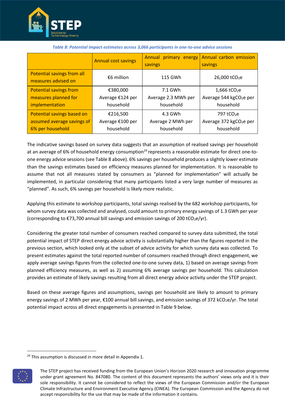

|                                                   | <b>Annual cost savings</b> | Annual primary energy<br>savings | Annual carbon emission<br>savings   |
|---------------------------------------------------|----------------------------|----------------------------------|-------------------------------------|
| Potential savings from all<br>measures advised on | €6 million                 | 115 GWh                          | 26,000 tCO <sub>2</sub> e           |
| <b>Potential savings from</b>                     | €380,000                   | 7.1 GWh                          | 1,666 tCO <sub>2</sub> e            |
| measures planned for                              | Average €124 per           | Average 2.3 MWh per              | Average 544 kgCO <sub>2</sub> e per |
| implementation                                    | household                  | household                        | household                           |
| Potential savings based on                        | €216,500                   | 4.3 GWh                          | 797 tCO <sub>2</sub> e              |
| assumed average savings of                        | Average €100 per           | Average 2 MWh per                | Average 372 kgCO <sub>2</sub> e per |
| 6% per household                                  | household                  | household                        | household                           |

#### *Table 8: Potential impact estimates across 3,066 participants in one-to-one advice sessions*

The indicative savings based on survey data suggests that an assumption of realised savings per household at an average of 6% of household energy consumption<sup>24</sup> represents a reasonable estimate for direct one-toone energy advice sessions (see Table 8 above). 6% savings per household produces a slightly lower estimate than the savings estimates based on efficiency measures planned for implementation. It is reasonable to assume that not all measures stated by consumers as "planned for implementation" will actually be implemented, in particular considering that many participants listed a very large number of measures as "planned". As such, 6% savings per household is likely more realistic.

Applying this estimate to workshop participants, total savings realised by the 682 workshop participants, for whom survey data was collected and analysed, could amount to primary energy savings of 1.3 GWh per year (corresponding to  $\epsilon$ 73,700 annual bill savings and emission savings of 200 tCO<sub>2</sub>e/yr).

Considering the greater total number of consumers reached compared to survey data submitted, the total potential impact of STEP direct energy advice activity is substantially higher than the figures reported in the previous section, which looked only at the subset of advice activity for which survey data was collected. To present estimates against the total reported number of consumers reached through direct engagement, we apply average savings figures from the collected one-to-one survey data, 1) based on average savings from planned efficiency measures, as well as 2) assuming 6% average savings per household. This calculation provides an estimate of likely savings resulting from all direct energy advice activity under the STEP project.

Based on these average figures and assumptions, savings per household are likely to amount to primary energy savings of 2 MWh per year, €100 annual bill savings, and emission savings of 372 kCO<sub>2</sub>e/yr. The total potential impact across all direct engagements is presented in Table 9 below.

<sup>&</sup>lt;sup>24</sup> This assumption is discussed in more detail in Appendix 1.



The STEP project has received funding from the European Union's Horizon 2020 research and innovation programme under grant agreement No. 847080. The content of this document represents the authors' views only and it is their sole responsibility. It cannot be considered to reflect the views of the European Commission and/or the European Climate Infrastructure and Environment Executive Agency (CINEA). The European Commission and the Agency do not accept responsibility for the use that may be made of the information it contains.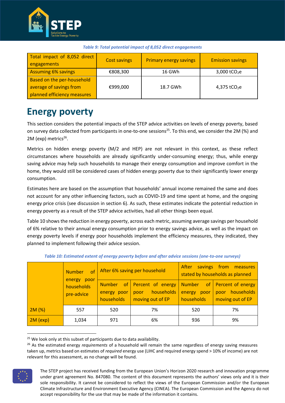

| Total impact of 8,052 direct<br>engagements                                          | <b>Cost savings</b> | <b>Primary energy savings</b> | <b>Emission savings</b>  |
|--------------------------------------------------------------------------------------|---------------------|-------------------------------|--------------------------|
| <b>Assuming 6% savings</b>                                                           | €808,300            | 16 GWh                        | 3,000 $tCO2e$            |
| Based on the per-household<br>average of savings from<br>planned efficiency measures | €999,000            | 18.7 GWh                      | 4,375 tCO <sub>2</sub> e |

| Table 9: Total potential impact of 8,052 direct engagements |  |  |  |  |
|-------------------------------------------------------------|--|--|--|--|
|-------------------------------------------------------------|--|--|--|--|

## **Energy poverty**

This section considers the potential impacts of the STEP advice activities on levels of energy poverty, based on survey data collected from participants in one-to-one sessions<sup>25</sup>. To this end, we consider the 2M (%) and 2M (exp) metrics<sup>26</sup>.

Metrics on hidden energy poverty (M/2 and HEP) are not relevant in this context, as these reflect circumstances where households are already significantly under-consuming energy; thus, while energy saving advice may help such households to manage their energy consumption and improve comfort in the home, they would still be considered cases of hidden energy poverty due to their significantly lower energy consumption.

Estimates here are based on the assumption that households' annual income remained the same and does not account for any other influencing factors, such as COVID-19 and time spent at home, and the ongoing energy price crisis (see discussion in section 6). As such, these estimates indicate the potential reduction in energy poverty as a result of the STEP advice activities, had all other things been equal.

Table 10 shows the reduction in energy poverty, across each metric, assuming average savings per household of 6% relative to their annual energy consumption prior to energy savings advice, as well as the impact on energy poverty levels if energy poor households implement the efficiency measures, they indicated, they planned to implement following their advice session.

| <b>Number</b>                              |       | After 6% saving per household                               | savings<br>from measures<br>After<br>stated by households as planned |                                                     |                                                             |
|--------------------------------------------|-------|-------------------------------------------------------------|----------------------------------------------------------------------|-----------------------------------------------------|-------------------------------------------------------------|
| energy<br>poor<br>households<br>pre-advice |       | <sub>of</sub><br><b>Number</b><br>energy poor<br>households | Percent of energy<br>households<br>poor<br>moving out of EP          | of<br><b>Number</b><br>energy<br>poor<br>households | Percent of energy<br>households<br>poor<br>moving out of EP |
| 2M(%)                                      | 557   | 520                                                         | 7%                                                                   | 520                                                 | 7%                                                          |
| $2M$ (exp)                                 | 1,034 | 971                                                         | 6%                                                                   | 936                                                 | 9%                                                          |

*Table 10: Estimated extent of energy poverty before and after advice sessions (one-to-one surveys)*

<sup>26</sup> As the estimated energy *requirements* of a household will remain the same regardless of energy saving measures taken up, metrics based on estimates of *required* energy use (LIHC and required energy spend > 10% of income) are not relevant for this assessment, as no change will be found.



The STEP project has received funding from the European Union's Horizon 2020 research and innovation programme under grant agreement No. 847080. The content of this document represents the authors' views only and it is their sole responsibility. It cannot be considered to reflect the views of the European Commission and/or the European Climate Infrastructure and Environment Executive Agency (CINEA). The European Commission and the Agency do not accept responsibility for the use that may be made of the information it contains.

<sup>&</sup>lt;sup>25</sup> We look only at this subset of participants due to data availability.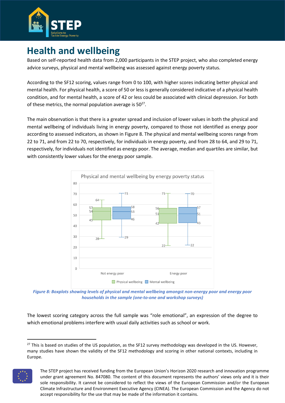

## **Health and wellbeing**

Based on self-reported health data from 2,000 participants in the STEP project, who also completed energy advice surveys, physical and mental wellbeing was assessed against energy poverty status.

According to the SF12 scoring, values range from 0 to 100, with higher scores indicating better physical and mental health. For physical health, a score of 50 or less is generally considered indicative of a physical health condition, and for mental health, a score of 42 or less could be associated with clinical depression. For both of these metrics, the normal population average is  $50^{27}$ .

The main observation is that there is a greater spread and inclusion of lower values in both the physical and mental wellbeing of individuals living in energy poverty, compared to those not identified as energy poor according to assessed indicators, as shown i[n Figure 8.](#page-24-0) The physical and mental wellbeing scores range from 22 to 71, and from 22 to 70, respectively, for individuals in energy poverty, and from 28 to 64, and 29 to 71, respectively, for individuals not identified as energy poor. The average, median and quartiles are similar, but with consistently lower values for the energy poor sample.



<span id="page-24-0"></span>*Figure 8: Boxplots showing levels of physical and mental wellbeing amongst non-energy poor and energy poor households in the sample (one-to-one and workshop surveys)*

The lowest scoring category across the full sample was "role emotional", an expression of the degree to which emotional problems interfere with usual daily activities such as school or work.

 $27$  This is based on studies of the US population, as the SF12 survey methodology was developed in the US. However, many studies have shown the validity of the SF12 methodology and scoring in other national contexts, including in Europe.



The STEP project has received funding from the European Union's Horizon 2020 research and innovation programme under grant agreement No. 847080. The content of this document represents the authors' views only and it is their sole responsibility. It cannot be considered to reflect the views of the European Commission and/or the European Climate Infrastructure and Environment Executive Agency (CINEA). The European Commission and the Agency do not accept responsibility for the use that may be made of the information it contains.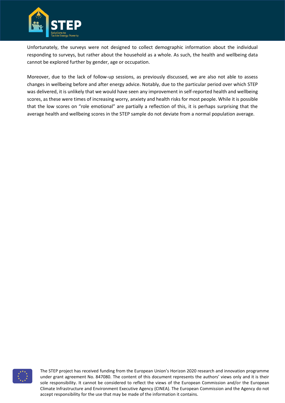

Unfortunately, the surveys were not designed to collect demographic information about the individual responding to surveys, but rather about the household as a whole. As such, the health and wellbeing data cannot be explored further by gender, age or occupation.

Moreover, due to the lack of follow-up sessions, as previously discussed, we are also not able to assess changes in wellbeing before and after energy advice. Notably, due to the particular period over which STEP was delivered, it is unlikely that we would have seen any improvement in self-reported health and wellbeing scores, as these were times of increasing worry, anxiety and health risks for most people. While it is possible that the low scores on "role emotional" are partially a reflection of this, it is perhaps surprising that the average health and wellbeing scores in the STEP sample do not deviate from a normal population average.

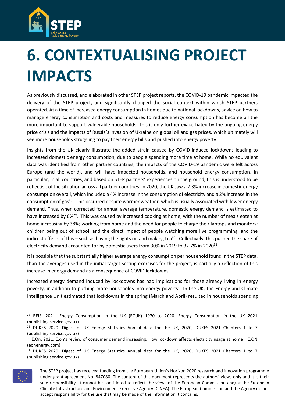

# <span id="page-26-0"></span>**6. CONTEXTUALISING PROJECT IMPACTS**

As previously discussed, and elaborated in other STEP project reports, the COVID-19 pandemic impacted the delivery of the STEP project, and significantly changed the social context within which STEP partners operated. At a time of increased energy consumption in homes due to national lockdowns, advice on how to manage energy consumption and costs and measures to reduce energy consumption has become all the more important to support vulnerable households. This is only further exacerbated by the ongoing energy price crisis and the impacts of Russia's invasion of Ukraine on global oil and gas prices, which ultimately will see more households struggling to pay their energy bills and pushed into energy poverty.

Insights from the UK clearly illustrate the added strain caused by COVID-induced lockdowns leading to increased domestic energy consumption, due to people spending more time at home. While no equivalent data was identified from other partner countries, the impacts of the COVID-19 pandemic were felt across Europe (and the world), and will have impacted households, and household energy consumption, in particular, in all countries, and based on STEP partners' experiences on the ground, this is understood to be reflective of the situation across all partner countries. In 2020, the UK saw a 2.3% increase in domestic energy consumption overall, which included a 4% increase in the consumption of electricity and a 2% increase in the consumption of gas<sup>28</sup>. This occurred despite warmer weather, which is usually associated with lower energy demand. Thus, when corrected for annual average temperature, domestic energy demand is estimated to have increased by 6%<sup>29</sup>. This was caused by increased cooking at home, with the number of meals eaten at home increasing by 38%; working from home and the need for people to charge their laptops and monitors; children being out of school; and the direct impact of people watching more live programming, and the indirect effects of this – such as having the lights on and making tea<sup>30</sup>. Collectively, this pushed the share of electricity demand accounted for by domestic users from 30% in 2019 to 32.7% in 2020 $^{\text{31}}$ .

It is possible that the substantially higher average energy consumption per household found in the STEP data, than the averages used in the initial target setting exercises for the project, is partially a reflection of this increase in energy demand as a consequence of COVID lockdowns.

Increased energy demand induced by lockdowns has had implications for those already living in energy poverty, in addition to pushing more households into energy poverty. In the UK, the Energy and Climate Intelligence Unit estimated that lockdowns in the spring (March and April) resulted in households spending

<sup>&</sup>lt;sup>31</sup> DUKES 2020. Digest of UK Energy Statistics Annual data for the UK, 2020, DUKES 2021 Chapters 1 to 7 (publishing.service.gov.uk)



The STEP project has received funding from the European Union's Horizon 2020 research and innovation programme under grant agreement No. 847080. The content of this document represents the authors' views only and it is their sole responsibility. It cannot be considered to reflect the views of the European Commission and/or the European Climate Infrastructure and Environment Executive Agency (CINEA). The European Commission and the Agency do not accept responsibility for the use that may be made of the information it contains.

<sup>&</sup>lt;sup>28</sup> BEIS, 2021. Energy Consumption in the UK (ECUK) 1970 to 2020. Energy Consumption in the UK 2021 (publishing.service.gov.uk)

 $29$  DUKES 2020. Digest of UK Energy Statistics Annual data for the UK, 2020, DUKES 2021 Chapters 1 to 7 (publishing.service.gov.uk)

<sup>30</sup> E.On, 2021. E.on's review of consumer demand increasing. How lockdown affects electricity usage at home | E.ON (eonenergy.com)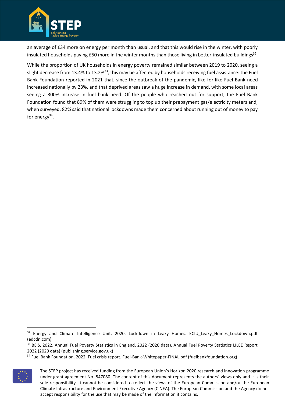

an average of £34 more on energy per month than usual, and that this would rise in the winter, with poorly insulated households paying £50 more in the winter months than those living in better-insulated buildings $^{32}$ .

While the proportion of UK households in energy poverty remained similar between 2019 to 2020, seeing a slight decrease from 13.4% to 13.2%<sup>33</sup>, this may be affected by households receiving fuel assistance: the Fuel Bank Foundation reported in 2021 that, since the outbreak of the pandemic, like-for-like Fuel Bank need increased nationally by 23%, and that deprived areas saw a huge increase in demand, with some local areas seeing a 300% increase in fuel bank need. Of the people who reached out for support, the Fuel Bank Foundation found that 89% of them were struggling to top up their prepayment gas/electricity meters and, when surveyed, 82% said that national lockdowns made them concerned about running out of money to pay for energy<sup>34</sup>.

<sup>&</sup>lt;sup>34</sup> Fuel Bank Foundation, 2022. Fuel crisis report. Fuel-Bank-Whitepaper-FINAL.pdf (fuelbankfoundation.org)



The STEP project has received funding from the European Union's Horizon 2020 research and innovation programme under grant agreement No. 847080. The content of this document represents the authors' views only and it is their sole responsibility. It cannot be considered to reflect the views of the European Commission and/or the European Climate Infrastructure and Environment Executive Agency (CINEA). The European Commission and the Agency do not accept responsibility for the use that may be made of the information it contains.

<sup>&</sup>lt;sup>32</sup> Energy and Climate Intelligence Unit, 2020. Lockdown in Leaky Homes. ECIU\_Leaky\_Homes\_Lockdown.pdf (edcdn.com)

<sup>&</sup>lt;sup>33</sup> BEIS, 2022. Annual Fuel Poverty Statistics in England, 2022 (2020 data). Annual Fuel Poverty Statistics LILEE Report 2022 (2020 data) (publishing.service.gov.uk)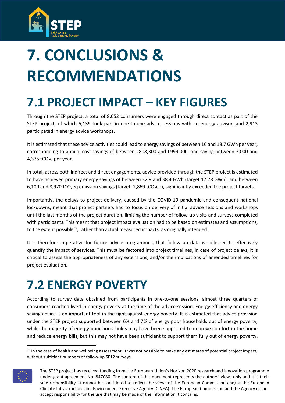

# <span id="page-28-0"></span>**7. CONCLUSIONS & RECOMMENDATIONS**

# <span id="page-28-1"></span>**7.1 PROJECT IMPACT – KEY FIGURES**

Through the STEP project, a total of 8,052 consumers were engaged through direct contact as part of the STEP project, of which 5,139 took part in one-to-one advice sessions with an energy advisor, and 2,913 participated in energy advice workshops.

It is estimated that these advice activities could lead to energy savings of between 16 and 18.7 GWh per year, corresponding to annual cost savings of between €808,300 and €999,000, and saving between 3,000 and 4,375  $tCO<sub>2</sub>e$  per year.

In total, across both indirect and direct engagements, advice provided through the STEP project is estimated to have achieved primary energy savings of between 32.9 and 38.4 GWh (target 17.78 GWh), and between 6,100 and 8,970 tCO<sub>2</sub>eq emission savings (target: 2,869 tCO<sub>2</sub>eq), significantly exceeded the project targets.

Importantly, the delays to project delivery, caused by the COVID-19 pandemic and consequent national lockdowns, meant that project partners had to focus on delivery of initial advice sessions and workshops until the last months of the project duration, limiting the number of follow-up visits and surveys completed with participants. This meant that project impact evaluation had to be based on estimates and assumptions, to the extent possible<sup>35</sup>, rather than actual measured impacts, as originally intended.

It is therefore imperative for future advice programmes, that follow up data is collected to effectively quantify the impact of services. This must be factored into project timelines, in case of project delays, it is critical to assess the appropriateness of any extensions, and/or the implications of amended timelines for project evaluation.

# <span id="page-28-2"></span>**7.2 ENERGY POVERTY**

According to survey data obtained from participants in one-to-one sessions, almost three quarters of consumers reached lived in energy poverty at the time of the advice session. Energy efficiency and energy saving advice is an important tool in the fight against energy poverty. It is estimated that advice provision under the STEP project supported between 6% and 7% of energy poor households out of energy poverty, while the majority of energy poor households may have been supported to improve comfort in the home and reduce energy bills, but this may not have been sufficient to support them fully out of energy poverty.

<sup>&</sup>lt;sup>35</sup> In the case of health and wellbeing assessment, it was not possible to make any estimates of potential project impact, without sufficient numbers of follow-up SF12 surveys.



The STEP project has received funding from the European Union's Horizon 2020 research and innovation programme under grant agreement No. 847080. The content of this document represents the authors' views only and it is their sole responsibility. It cannot be considered to reflect the views of the European Commission and/or the European Climate Infrastructure and Environment Executive Agency (CINEA). The European Commission and the Agency do not accept responsibility for the use that may be made of the information it contains.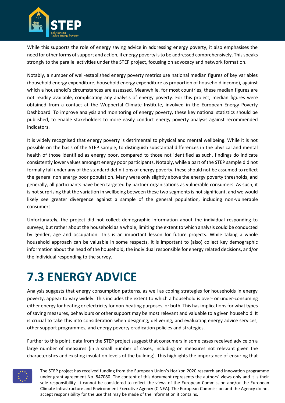

While this supports the role of energy saving advice in addressing energy poverty, it also emphasises the need for other forms of support and action, if energy poverty is to be addressed comprehensively. This speaks strongly to the parallel activities under the STEP project, focusing on advocacy and network formation.

Notably, a number of well-established energy poverty metrics use national median figures of key variables (household energy expenditure, household energy expenditure as proportion of household income), against which a household's circumstances are assessed. Meanwhile, for most countries, these median figures are not readily available, complicating any analysis of energy poverty. For this project, median figures were obtained from a contact at the Wuppertal Climate Institute, involved in the European Energy Poverty Dashboard. To improve analysis and monitoring of energy poverty, these key national statistics should be published, to enable stakeholders to more easily conduct energy poverty analysis against recommended indicators.

It is widely recognised that energy poverty is detrimental to physical and mental wellbeing. While it is not possible on the basis of the STEP sample, to distinguish substantial differences in the physical and mental health of those identified as energy poor, compared to those not identified as such, findings do indicate consistently lower values amongst energy poor participants. Notably, while a part of the STEP sample did not formally fall under any of the standard definitions of energy poverty, these should not be assumed to reflect the general non energy poor population. Many were only slightly above the energy poverty thresholds, and generally, all participants have been targeted by partner organisations as vulnerable consumers. As such, it is not surprising that the variation in wellbeing between these two segments is not significant, and we would likely see greater divergence against a sample of the general population, including non-vulnerable consumers.

Unfortunately, the project did not collect demographic information about the individual responding to surveys, but rather about the household as a whole, limiting the extent to which analysis could be conducted by gender, age and occupation. This is an important lesson for future projects. While taking a whole household approach can be valuable in some respects, it is important to (also) collect key demographic information about the head of the household, the individual responsible for energy related decisions, and/or the individual responding to the survey.

# <span id="page-29-0"></span>**7.3 ENERGY ADVICE**

Analysis suggests that energy consumption patterns, as well as coping strategies for households in energy poverty, appear to vary widely. This includes the extent to which a household is over- or under-consuming either energy for heating or electricity for non-heating purposes, or both. This has implications for what types of saving measures, behaviours or other support may be most relevant and valuable to a given household. It is crucial to take this into consideration when designing, delivering, and evaluating energy advice services, other support programmes, and energy poverty eradication policies and strategies.

Further to this point, data from the STEP project suggest that consumers in some cases received advice on a large number of measures (in a small number of cases, including on measures not relevant given the characteristics and existing insulation levels of the building). This highlights the importance of ensuring that

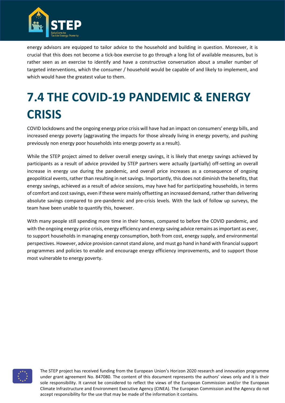

energy advisors are equipped to tailor advice to the household and building in question. Moreover, it is crucial that this does not become a tick-box exercise to go through a long list of available measures, but is rather seen as an exercise to identify and have a constructive conversation about a smaller number of targeted interventions, which the consumer / household would be capable of and likely to implement, and which would have the greatest value to them.

# <span id="page-30-0"></span>**7.4 THE COVID-19 PANDEMIC & ENERGY CRISIS**

COVID lockdowns and the ongoing energy price crisis will have had an impact on consumers' energy bills, and increased energy poverty (aggravating the impacts for those already living in energy poverty, and pushing previously non energy poor households into energy poverty as a result).

While the STEP project aimed to deliver overall energy savings, it is likely that energy savings achieved by participants as a result of advice provided by STEP partners were actually (partially) off-setting an overall increase in energy use during the pandemic, and overall price increases as a consequence of ongoing geopolitical events, rather than resulting in net savings. Importantly, this does not diminish the benefits, that energy savings, achieved as a result of advice sessions, may have had for participating households, in terms of comfort and cost savings, even if these were mainly offsetting an increased demand, rather than delivering absolute savings compared to pre-pandemic and pre-crisis levels. With the lack of follow up surveys, the team have been unable to quantify this, however.

With many people still spending more time in their homes, compared to before the COVID pandemic, and with the ongoing energy price crisis, energy efficiency and energy saving advice remains as important as ever, to support households in managing energy consumption, both from cost, energy supply, and environmental perspectives. However, advice provision cannot stand alone, and must go hand in hand with financial support programmes and policies to enable and encourage energy efficiency improvements, and to support those most vulnerable to energy poverty.

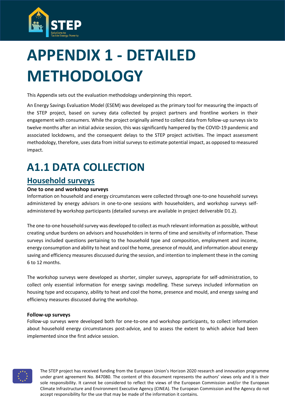

# <span id="page-31-0"></span>**APPENDIX 1 - DETAILED METHODOLOGY**

This Appendix sets out the evaluation methodology underpinning this report.

An Energy Savings Evaluation Model (ESEM) was developed as the primary tool for measuring the impacts of the STEP project, based on survey data collected by project partners and frontline workers in their engagement with consumers. While the project originally aimed to collect data from follow-up surveys six to twelve months after an initial advice session, this was significantly hampered by the COVID-19 pandemic and associated lockdowns, and the consequent delays to the STEP project activities. The impact assessment methodology, therefore, uses data from initial surveys to estimate potential impact, as opposed to measured impact.

# **A1.1 DATA COLLECTION**

### **Household surveys**

#### **One to one and workshop surveys**

Information on household and energy circumstances were collected through one-to-one household surveys administered by energy advisors in one-to-one sessions with householders, and workshop surveys selfadministered by workshop participants (detailed surveys are available in project deliverable D1.2).

The one-to-one household survey was developed to collect as much relevant information as possible, without creating undue burdens on advisors and householders in terms of time and sensitivity of information. These surveys included questions pertaining to the household type and composition, employment and income, energy consumption and ability to heat and cool the home, presence of mould, and information about energy saving and efficiency measures discussed during the session, and intention to implement these in the coming 6 to 12 months.

The workshop surveys were developed as shorter, simpler surveys, appropriate for self-administration, to collect only essential information for energy savings modelling. These surveys included information on housing type and occupancy, ability to heat and cool the home, presence and mould, and energy saving and efficiency measures discussed during the workshop.

#### **Follow-up surveys**

Follow-up surveys were developed both for one-to-one and workshop participants, to collect information about household energy circumstances post-advice, and to assess the extent to which advice had been implemented since the first advice session.

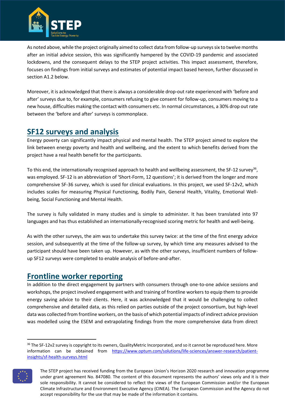

As noted above, while the project originally aimed to collect data from follow-up surveys six to twelve months after an initial advice session, this was significantly hampered by the COVID-19 pandemic and associated lockdowns, and the consequent delays to the STEP project activities. This impact assessment, therefore, focuses on findings from initial surveys and estimates of potential impact based hereon, further discussed in section A1.2 below.

Moreover, it is acknowledged that there is always a considerable drop-out rate experienced with 'before and after' surveys due to, for example, consumers refusing to give consent for follow-up, consumers moving to a new house, difficulties making the contact with consumers etc. In normal circumstances, a 30% drop out rate between the 'before and after' surveys is commonplace.

### **SF12 surveys and analysis**

Energy poverty can significantly impact physical and mental health. The STEP project aimed to explore the link between energy poverty and health and wellbeing, and the extent to which benefits derived from the project have a real health benefit for the participants.

To this end, the internationally recognised approach to health and wellbeing assessment, the SF-12 survey<sup>36</sup>, was employed. SF-12 is an abbreviation of 'Short-Form, 12 questions'; it is derived from the longer and more comprehensive SF-36 survey, which is used for clinical evaluations. In this project, we used SF-12v2, which includes scales for measuring Physical Functioning, Bodily Pain, General Health, Vitality, Emotional Wellbeing, Social Functioning and Mental Health.

The survey is fully validated in many studies and is simple to administer. It has been translated into 97 languages and has thus established an internationally-recognised scoring metric for health and well-being.

As with the other surveys, the aim was to undertake this survey twice: at the time of the first energy advice session, and subsequently at the time of the follow-up survey, by which time any measures advised to the participant should have been taken up. However, as with the other surveys, insufficient numbers of followup SF12 surveys were completed to enable analysis of before-and-after.

### **Frontline worker reporting**

In addition to the direct engagement by partners with consumers through one-to-one advice sessions and workshops, the project involved engagement with and training of frontline workers to equip them to provide energy saving advice to their clients. Here, it was acknowledged that it would be challenging to collect comprehensive and detailed data, as this relied on parties outside of the project consortium, but high-level data was collected from frontline workers, on the basis of which potential impacts of indirect advice provision was modelled using the ESEM and extrapolating findings from the more comprehensive data from direct

<sup>&</sup>lt;sup>36</sup> The SF-12v2 survey is copyright to its owners, QualityMetric Incorporated, and so it cannot be reproduced here. More information can be obtained from [https://www.optum.com/solutions/life-sciences/answer-research/patient](https://www.optum.com/solutions/life-sciences/answer-research/patient-insights/sf-health-surveys.html)[insights/sf-health-surveys.html](https://www.optum.com/solutions/life-sciences/answer-research/patient-insights/sf-health-surveys.html)



The STEP project has received funding from the European Union's Horizon 2020 research and innovation programme under grant agreement No. 847080. The content of this document represents the authors' views only and it is their sole responsibility. It cannot be considered to reflect the views of the European Commission and/or the European Climate Infrastructure and Environment Executive Agency (CINEA). The European Commission and the Agency do not accept responsibility for the use that may be made of the information it contains.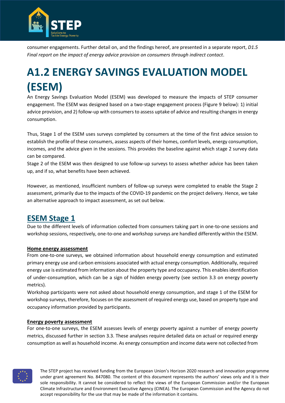

consumer engagements. Further detail on, and the findings hereof, are presented in a separate report, *D1.5 Final report on the impact of energy advice provision on consumers through indirect contact*.

# **A1.2 ENERGY SAVINGS EVALUATION MODEL (ESEM)**

An Energy Savings Evaluation Model (ESEM) was developed to measure the impacts of STEP consumer engagement. The ESEM was designed based on a two-stage engagement process [\(Figure 9](#page-41-0) below): 1) initial advice provision, and 2) follow-up with consumers to assess uptake of advice and resulting changes in energy consumption.

Thus, Stage 1 of the ESEM uses surveys completed by consumers at the time of the first advice session to establish the profile of these consumers, assess aspects of their homes, comfort levels, energy consumption, incomes, and the advice given in the sessions. This provides the baseline against which stage 2 survey data can be compared.

Stage 2 of the ESEM was then designed to use follow-up surveys to assess whether advice has been taken up, and if so, what benefits have been achieved.

However, as mentioned, insufficient numbers of follow-up surveys were completed to enable the Stage 2 assessment, primarily due to the impacts of the COVID-19 pandemic on the project delivery. Hence, we take an alternative approach to impact assessment, as set out below.

### **ESEM Stage 1**

Due to the different levels of information collected from consumers taking part in one-to-one sessions and workshop sessions, respectively, one-to-one and workshop surveys are handled differently within the ESEM.

#### **Home energy assessment**

From one-to-one surveys, we obtained information about household energy consumption and estimated primary energy use and carbon emissions associated with actual energy consumption. Additionally, required energy use is estimated from information about the property type and occupancy. This enables identification of under-consumption, which can be a sign of hidden energy poverty (see section 3.3 on energy poverty metrics).

Workshop participants were not asked about household energy consumption, and stage 1 of the ESEM for workshop surveys, therefore, focuses on the assessment of required energy use, based on property type and occupancy information provided by participants.

#### **Energy poverty assessment**

For one-to-one surveys, the ESEM assesses levels of energy poverty against a number of energy poverty metrics, discussed further in section 3.3. These analyses require detailed data on actual or required energy consumption as well as household income. As energy consumption and income data were not collected from

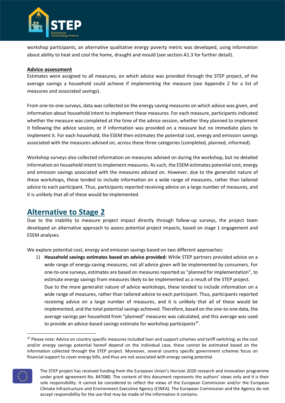

workshop participants, an alternative qualitative energy poverty metric was developed, using information about ability to heat and cool the home, draught and mould (see section A1.3 for further detail).

#### **Advice assessment**

Estimates were assigned to all measures, on which advice was provided through the STEP project, of the average savings a household could achieve if implementing the measure (see Appendix 2 for a list of measures and associated savings).

From one-to-one surveys, data was collected on the energy saving measures on which advice was given, and information about household intent to implement these measures. For each measure, participants indicated whether the measure was completed at the time of the advice session, whether they planned to implement it following the advice session, or if information was provided on a measure but no immediate plans to implement it. For each household, the ESEM then estimates the potential cost, energy and emission savings associated with the measures advised on, across these three categories (completed, planned, informed).

Workshop surveys also collected information on measures advised on during the workshop, but no detailed information on household intent to implement measures. As such, the ESEM estimates potential cost, energy and emission savings associated with the measures advised on. However, due to the generalist nature of these workshops, these tended to include information on a wide range of measures, rather than tailored advice to each participant. Thus, participants reported receiving advice on a large number of measures, and it is unlikely that all of these would be implemented.

### **Alternative to Stage 2**

Due to the inability to measure project impact directly through follow-up surveys, the project team developed an alternative approach to assess potential project impacts, based on stage 1 engagement and ESEM analyses.

We explore potential cost, energy and emission savings based on two different approaches:

1) **Household savings estimates based on advice provided:** While STEP partners provided advice on a wide range of energy-saving measures, not all advice given will be implemented by consumers. For one-to-one surveys, estimates are based on measures reported as "planned for implementation", to estimate energy savings from measures likely to be implemented as a result of the STEP project. Due to the more generalist nature of advice workshops, these tended to include information on a wide range of measures, rather than tailored advice to each participant. Thus, participants reported receiving advice on a large number of measures, and it is unlikely that all of these would be implemented, and the total potential savings achieved. Therefore, based on the one-to-one data, the average savings per household from "planned" measures was calculated, and this average was used to provide an advice-based savings estimate for workshop participants<sup>37</sup>.

<sup>&</sup>lt;sup>37</sup> Please note: Advice on country specific measures included loan and support schemes and tariff switching; as the cost and/or energy savings potential hereof depend on the individual case, these cannot be estimated based on the information collected through the STEP project. Moreover, several country specific government schemes focus on financial support to cover energy bills, and thus are not associated with energy saving potential.



The STEP project has received funding from the European Union's Horizon 2020 research and innovation programme under grant agreement No. 847080. The content of this document represents the authors' views only and it is their sole responsibility. It cannot be considered to reflect the views of the European Commission and/or the European Climate Infrastructure and Environment Executive Agency (CINEA). The European Commission and the Agency do not accept responsibility for the use that may be made of the information it contains.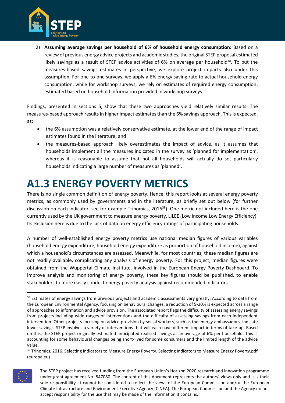

2) **Assuming average savings per household of 6% of household energy consumption**: Based on a review of previous energy advice projects and academic studies, the original STEP proposal estimated likely savings as a result of STEP advice activities of 6% on average per household $^{38}$ . To put the measures-based savings estimates in perspective, we explore project impacts also under this assumption. For one-to-one surveys, we apply a 6% energy saving rate to actual household energy consumption, while for workshop surveys, we rely on estimates of required energy consumption, estimated based on household information provided in workshop surveys.

Findings, presented in sections 5, show that these two approaches yield relatively similar results. The measures-based approach results in higher impact estimates than the 6% savings approach. This is expected, as:

- the 6% assumption was a relatively conservative estimate, at the lower end of the range of impact estimates found in the literature; and
- the measures-based approach likely overestimates the impact of advice, as it assumes that households implement all the measures indicated in the survey as 'planned for implementation', whereas it is reasonable to assume that not all households will actually do so, particularly households indicating a large number of measures as 'planned'.

## **A1.3 ENERGY POVERTY METRICS**

There is no single common definition of energy poverty. Hence, this report looks at several energy poverty metrics, as commonly used by governments and in the literature, as briefly set out below (for further discussion on each indicator, see for example Trinomics, 2016<sup>39</sup>). One metric not included here is the one currently used by the UK government to measure energy poverty, LILEE (Low Income Low Energy Efficiency). Its exclusion here is due to the lack of data on energy efficiency ratings of participating households.

A number of well-established energy poverty metrics use national median figures of various variables (household energy expenditure, household energy expenditure as proportion of household income), against which a household's circumstances are assessed. Meanwhile, for most countries, these median figures are not readily available, complicating any analysis of energy poverty. For this project, median figures were obtained from the Wuppertal Climate Institute, involved in the European Energy Poverty Dashboard. To improve analysis and monitoring of energy poverty, these key figures should be published, to enable stakeholders to more easily conduct energy poverty analysis against recommended indicators.

<sup>&</sup>lt;sup>39</sup> Trinomics, 2016. Selecting Indicators to Measure Energy Poverty. Selecting Indicators to Measure Energy Poverty.pdf (europa.eu)



The STEP project has received funding from the European Union's Horizon 2020 research and innovation programme under grant agreement No. 847080. The content of this document represents the authors' views only and it is their sole responsibility. It cannot be considered to reflect the views of the European Commission and/or the European Climate Infrastructure and Environment Executive Agency (CINEA). The European Commission and the Agency do not accept responsibility for the use that may be made of the information it contains.

<sup>&</sup>lt;sup>38</sup> Estimates of energy savings from previous projects and academic assessments vary greatly. According to data from the European Environmental Agency, focusing on behavioural changes, a reduction of 5-20% is expected across a range of approaches to information and advice provision. The associated report flags the difficulty of assessing energy savings from projects including wide ranges of interventions and the difficulty of assessing savings from each independent intervention. Other projects focusing on advice provision by social workers, such as the energy ambassadors, indicate lower savings. STEP involves a variety of interventions that will each have different impact in terms of take-up. Based on this, the STEP project originally estimated anticipated realised savings at an average of 6% per household. This is accounting for some behavioural changes being short-lived for some consumers and the limited length of the advice value.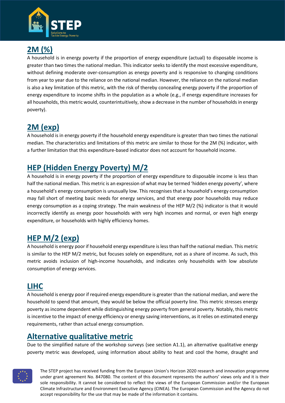

## **2M (%)**

A household is in energy poverty if the proportion of energy expenditure (actual) to disposable income is greater than two times the national median. This indicator seeks to identify the most excessive expenditure, without defining moderate over-consumption as energy poverty and is responsive to changing conditions from year to year due to the reliance on the national median. However, the reliance on the national median is also a key limitation of this metric, with the risk of thereby concealing energy poverty if the proportion of energy expenditure to income shifts in the population as a whole (e.g., if energy expenditure increases for all households, this metric would, counterintuitively, show a decrease in the number of households in energy poverty).

## **2M (exp)**

A household is in energy poverty if the household energy expenditure is greater than two times the national median. The characteristics and limitations of this metric are similar to those for the 2M (%) indicator, with a further limitation that this expenditure-based indicator does not account for household income.

## **HEP (Hidden Energy Poverty) M/2**

A household is in energy poverty if the proportion of energy expenditure to disposable income is less than half the national median. This metric is an expression of what may be termed 'hidden energy poverty', where a household's energy consumption is unusually low. This recognises that a household's energy consumption may fall short of meeting basic needs for energy services, and that energy poor households may reduce energy consumption as a coping strategy. The main weakness of the HEP M/2 (%) indicator is that it would incorrectly identify as energy poor households with very high incomes and normal, or even high energy expenditure, or households with highly efficiency homes.

## **HEP M/2 (exp)**

A household is energy poor if household energy expenditure is less than half the national median. This metric is similar to the HEP M/2 metric, but focuses solely on expenditure, not as a share of income. As such, this metric avoids inclusion of high-income households, and indicates only households with low absolute consumption of energy services.

### **LIHC**

A household is energy poor if required energy expenditure is greater than the national median, and were the household to spend that amount, they would be below the official poverty line. This metric stresses energy poverty as income dependent while distinguishing energy poverty from general poverty. Notably, this metric is incentive to the impact of energy efficiency or energy saving interventions, as it relies on estimated energy requirements, rather than actual energy consumption.

### **Alternative qualitative metric**

Due to the simplified nature of the workshop surveys (see section A1.1), an alternative qualitative energy poverty metric was developed, using information about ability to heat and cool the home, draught and

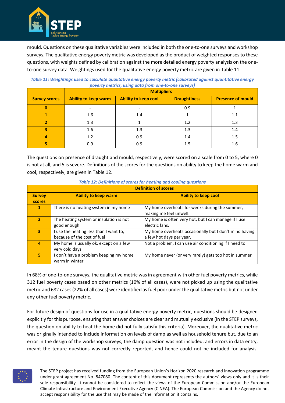

mould. Questions on these qualitative variables were included in both the one-to-one surveys and workshop surveys. The qualitative energy poverty metric was developed as the product of weighted responses to these questions, with weights defined by calibration against the more detailed energy poverty analysis on the oneto-one survey data. Weightings used for the qualitative energy poverty metric are given i[n Table 11.](#page-37-0)

|                      | <b>Multipliers</b>          |                             |                     |                          |  |
|----------------------|-----------------------------|-----------------------------|---------------------|--------------------------|--|
| <b>Survey scores</b> | <b>Ability to keep warm</b> | <b>Ability to keep cool</b> | <b>Draughtiness</b> | <b>Presence of mould</b> |  |
|                      | ۰                           |                             | 0.9                 |                          |  |
|                      | 1.6                         | 1.4                         |                     | 1.1                      |  |
|                      | 1.3                         |                             | 1.2                 | 1.3                      |  |
|                      | 1.6                         | 1.3                         | 1.3                 | 1.4                      |  |
|                      | 1.2                         | 0.9                         | 1.4                 | 1.5                      |  |
|                      | 0.9                         | 0.9                         | 1.5                 | 1.6                      |  |

#### <span id="page-37-0"></span>*Table 11: Weightings used to calculate qualitative energy poverty metric (calibrated against quantitative energy poverty metrics, using data from one-to-one surveys)*

The questions on presence of draught and mould, respectively, were scored on a scale from 0 to 5, where 0 is not at all, and 5 is severe. Definitions of the scores for the questions on ability to keep the home warm and cool, respectively, are given in [Table 12.](#page-37-1)

<span id="page-37-1"></span>

|                | <b>Definition of scores</b>                                |                                                        |  |  |  |
|----------------|------------------------------------------------------------|--------------------------------------------------------|--|--|--|
| <b>Survey</b>  | <b>Ability to keep cool</b><br><b>Ability to keep warm</b> |                                                        |  |  |  |
| <b>scores</b>  |                                                            |                                                        |  |  |  |
| 1              | There is no heating system in my home                      | My home overheats for weeks during the summer,         |  |  |  |
|                |                                                            | making me feel unwell.                                 |  |  |  |
| $\overline{2}$ | The heating system or insulation is not                    | My home is often very hot, but I can manage if I use   |  |  |  |
|                | good enough                                                | electric fans.                                         |  |  |  |
| 3              | I use the heating less than I want to,                     | My home overheats occasionally but I don't mind having |  |  |  |
|                | because of the cost of fuel                                | a few hot days per year.                               |  |  |  |
| 4              | My home is usually ok, except on a few                     | Not a problem, I can use air conditioning if I need to |  |  |  |
|                | very cold days                                             |                                                        |  |  |  |
| 5              | don't have a problem keeping my home                       | My home never (or very rarely) gets too hot in summer  |  |  |  |
|                | warm in winter                                             |                                                        |  |  |  |

*Table 12: Definitions of scores for heating and cooling questions*

In 68% of one-to-one surveys, the qualitative metric was in agreement with other fuel poverty metrics, while 312 fuel poverty cases based on other metrics (10% of all cases), were not picked up using the qualitative metric and 682 cases (22% of all cases) were identified as fuel poor under the qualitative metric but not under any other fuel poverty metric.

For future design of questions for use in a qualitative energy poverty metric, questions should be designed explicitly for this purpose, ensuring that answer choices are clear and mutually exclusive (in the STEP surveys, the question on ability to heat the home did not fully satisfy this criteria). Moreover, the qualitative metric was originally intended to include information on levels of damp as well as household tenure but, due to an error in the design of the workshop surveys, the damp question was not included, and errors in data entry, meant the tenure questions was not correctly reported, and hence could not be included for analysis.

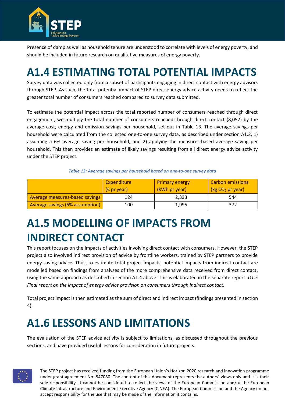

Presence of damp as well as household tenure are understood to correlate with levels of energy poverty, and should be included in future research on qualitative measures of energy poverty.

## **A1.4 ESTIMATING TOTAL POTENTIAL IMPACTS**

Survey data was collected only from a subset of participants engaging in direct contact with energy advisors through STEP. As such, the total potential impact of STEP direct energy advice activity needs to reflect the greater total number of consumers reached compared to survey data submitted.

To estimate the potential impact across the total reported number of consumers reached through direct engagement, we multiply the total number of consumers reached through direct contact (8,052) by the average cost, energy and emission savings per household, set out in [Table 13.](#page-38-0) The average savings per household were calculated from the collected one-to-one survey data, as described under section A1.2, 1) assuming a 6% average saving per household, and 2) applying the measures-based average saving per household. This then provides an estimate of likely savings resulting from all direct energy advice activity under the STEP project.

#### *Table 13: Average savings per household based on one-to-one survey data*

<span id="page-38-0"></span>

|                                        | <b>Expenditure</b>   | <b>Primary energy</b> | Carbon emissions<br>(kg CO <sub>2</sub> pr year) |  |
|----------------------------------------|----------------------|-----------------------|--------------------------------------------------|--|
|                                        | $(\epsilon$ pr year) | (kWh pr year)         |                                                  |  |
| Average measures-based savings         | 124                  | 2,333                 | 544                                              |  |
| <b>Average savings (6% assumption)</b> | 100                  | 1,995                 | 372                                              |  |

## **A1.5 MODELLING OF IMPACTS FROM INDIRECT CONTACT**

This report focuses on the impacts of activities involving direct contact with consumers. However, the STEP project also involved indirect provision of advice by frontline workers, trained by STEP partners to provide energy saving advice. Thus, to estimate total project impacts, potential impacts from indirect contact are modelled based on findings from analyses of the more comprehensive data received from direct contact, using the same approach as described in section A1.4 above. This is elaborated in the separate report: *D1.5 Final report on the impact of energy advice provision on consumers through indirect contact*.

Total project impact is then estimated as the sum of direct and indirect impact (findings presented in section 4).

## **A1.6 LESSONS AND LIMITATIONS**

The evaluation of the STEP advice activity is subject to limitations, as discussed throughout the previous sections, and have provided useful lessons for consideration in future projects.

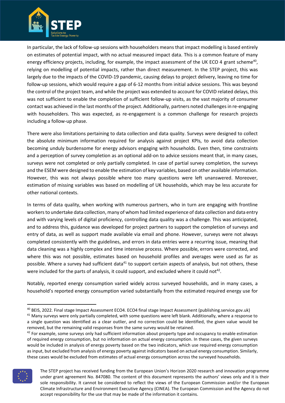

In particular, the lack of follow-up sessions with householders means that impact modelling is based entirely on estimates of potential impact, with no actual measured impact data. This is a common feature of many energy efficiency projects, including, for example, the impact assessment of the UK ECO 4 grant scheme<sup>40</sup>, relying on modelling of potential impacts, rather than direct measurement. In the STEP project, this was largely due to the impacts of the COVID-19 pandemic, causing delays to project delivery, leaving no time for follow-up sessions, which would require a gap of 6-12 months from initial advice sessions. This was beyond the control of the project team, and while the project was extended to account for COVID related delays, this was not sufficient to enable the completion of sufficient follow-up visits, as the vast majority of consumer contact was achieved in the last months of the project. Additionally, partners noted challenges in re-engaging with householders. This was expected, as re-engagement is a common challenge for research projects including a follow-up phase.

There were also limitations pertaining to data collection and data quality. Surveys were designed to collect the absolute minimum information required for analysis against project KPIs, to avoid data collection becoming unduly burdensome for energy advisors engaging with households. Even then, time constraints and a perception of survey completion as an optional add-on to advice sessions meant that, in many cases, surveys were not completed or only partially completed. In case of partial survey completion, the surveys and the ESEM were designed to enable the estimation of key variables, based on other available information. However, this was not always possible where too many questions were left unanswered. Moreover, estimation of missing variables was based on modelling of UK households, which may be less accurate for other national contexts.

In terms of data quality, when working with numerous partners, who in turn are engaging with frontline workers to undertake data collection, many of whom had limited experience of data collection and data entry and with varying levels of digital proficiency, controlling data quality was a challenge. This was anticipated, and to address this, guidance was developed for project partners to support the completion of surveys and entry of data, as well as support made available via email and phone. However, surveys were not always completed consistently with the guidelines, and errors in data entries were a recurring issue, meaning that data cleaning was a highly complex and time intensive process. Where possible, errors were corrected, and where this was not possible, estimates based on household profiles and averages were used as far as possible. Where a survey had sufficient data<sup>41</sup> to support certain aspects of analysis, but not others, these were included for the parts of analysis, it could support, and excluded where it could not<sup>42</sup>.

Notably, reported energy consumption varied widely across surveyed households, and in many cases, a household's reported energy consumption varied substantially from the estimated required energy use for

<sup>&</sup>lt;sup>42</sup> For example, some surveys only had sufficient information about property type and occupancy to enable estimation of required energy consumption, but no information on actual energy consumption. In these cases, the given surveys would be included in analysis of energy poverty based on the two indicators, which use required energy consumption as input, but excluded from analysis of energy poverty against indicators based on actual energy consumption. Similarly, these cases would be excluded from estimates of actual energy consumption across the surveyed households.



The STEP project has received funding from the European Union's Horizon 2020 research and innovation programme under grant agreement No. 847080. The content of this document represents the authors' views only and it is their sole responsibility. It cannot be considered to reflect the views of the European Commission and/or the European Climate Infrastructure and Environment Executive Agency (CINEA). The European Commission and the Agency do not accept responsibility for the use that may be made of the information it contains.

<sup>40</sup> BEIS, 2022. Final stage Impact Assessment ECO4. ECO4 final stage Impact Assessment (publishing.service.gov.uk)

 $41$  Many surveys were only partially completed, with some questions were left blank. Additionally, where a response to a single question was identified as a clear outlier, and no correction could be identified, the given value would be removed, but the remaining valid responses from the same survey would be retained.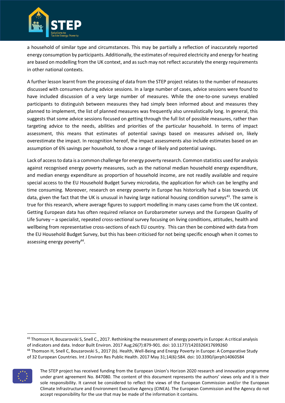

a household of similar type and circumstances. This may be partially a reflection of inaccurately reported energy consumption by participants. Additionally, the estimates of required electricity and energy for heating are based on modelling from the UK context, and as such may not reflect accurately the energy requirements in other national contexts.

A further lesson learnt from the processing of data from the STEP project relates to the number of measures discussed with consumers during advice sessions. In a large number of cases, advice sessions were found to have included discussion of a very large number of measures. While the one-to-one surveys enabled participants to distinguish between measures they had simply been informed about and measures they planned to implement, the list of planned measures was frequently also unrealistically long. In general, this suggests that some advice sessions focused on getting through the full list of possible measures, rather than targeting advice to the needs, abilities and priorities of the particular household. In terms of impact assessment, this means that estimates of potential savings based on measures advised on, likely overestimate the impact. In recognition hereof, the impact assessments also include estimates based on an assumption of 6% savings per household, to show a range of likely and potential savings.

Lack of access to data is a common challenge for energy poverty research. Common statistics used for analysis against recognised energy poverty measures, such as the national median household energy expenditure, and median energy expenditure as proportion of household income, are not readily available and require special access to the EU Household Budget Survey microdata, the application for which can be lengthy and time consuming. Moreover, research on energy poverty in Europe has historically had a bias towards UK data, given the fact that the UK is unusual in having large national housing condition surveys<sup>43</sup>. The same is true for this research, where average figures to support modelling in many cases came from the UK context. Getting European data has often required reliance on Eurobarometer surveys and the European Quality of Life Survey – a specialist, repeated cross-sectional survey focusing on living conditions, attitudes, health and wellbeing from representative cross-sections of each EU country. This can then be combined with data from the EU Household Budget Survey, but this has been criticised for not being specific enough when it comes to assessing energy poverty<sup>44</sup>.

<sup>43</sup> Thomson H, Bouzarovski S, Snell C., 2017. Rethinking the measurement of energy poverty in Europe: A critical analysis of indicators and data. Indoor Built Environ. 2017 Aug;26(7):879-901. doi: 10.1177/1420326X17699260 <sup>44</sup> Thomson H, Snell C, Bouzarovski S., 2017 (b). Health, Well-Being and Energy Poverty in Europe: A Comparative Study of 32 European Countries. Int J Environ Res Public Health. 2017 May 31;14(6):584. doi: 10.3390/ijerph14060584



The STEP project has received funding from the European Union's Horizon 2020 research and innovation programme under grant agreement No. 847080. The content of this document represents the authors' views only and it is their sole responsibility. It cannot be considered to reflect the views of the European Commission and/or the European Climate Infrastructure and Environment Executive Agency (CINEA). The European Commission and the Agency do not accept responsibility for the use that may be made of the information it contains.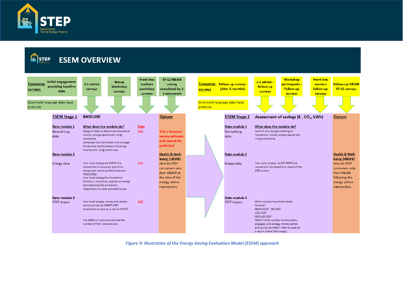

STEP

### **ESEM OVERVIEW**



<span id="page-41-0"></span>*Figure 9: Illustration of the Energy Saving Evaluation Model (ESEM) approach*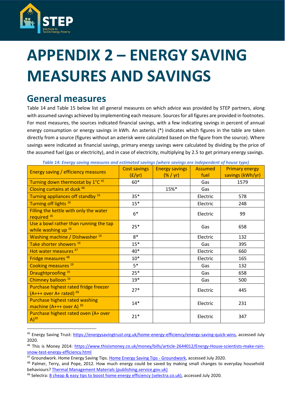

# <span id="page-42-0"></span>**APPENDIX 2 – ENERGY SAVING MEASURES AND SAVINGS**

## **General measures**

[Table 14](#page-42-1) and [Table 15](#page-43-0) below list all general measures on which advice was provided by STEP partners, along with assumed savings achieved by implementing each measure. Sources for all figures are provided in footnotes. For most measures, the sources indicated financial savings, with a few indicating savings in percent of annual energy consumption or energy savings in kWh. An asterisk (\*) indicates which figures in the table are taken directly from a source (figures without an asterisk were calculated based on the figure from the source). Where savings were indicated as financial savings, primary energy savings were calculated by dividing by the price of the assumed fuel (gas or electricity), and in case of electricity, multiplying by 2.5 to get primary energy savings.

<span id="page-42-1"></span>

| Energy saving / efficiency measures                                          | <b>Cost savings</b> | <b>Energy savings</b> | <b>Assumed</b> | <b>Primary energy</b> |
|------------------------------------------------------------------------------|---------------------|-----------------------|----------------|-----------------------|
|                                                                              | (f(yr))             | $(\% / yr)$           | fuel           | savings (kWh/yr)      |
| Turning down thermostat by 1°C <sup>45</sup>                                 | $60*$               |                       | Gas            | 1579                  |
| Closing curtains at dusk 46                                                  |                     | 15%*                  | Gas            |                       |
| Turning appliances off standby 16                                            | $35*$               |                       | Electric       | 578                   |
| Turning off lights <sup>16</sup>                                             | $15*$               |                       | Electric       | 248                   |
| Filling the kettle with only the water<br>required <sup>16</sup>             | $6*$                |                       | Electric       | 99                    |
| Use a bowl rather than running the tap<br>while washing up 16                | $25*$               |                       | Gas            | 658                   |
| <b>Washing machine / Dishwasher 16</b>                                       | $8*$                |                       | Electric       | 132                   |
| Take shorter showers <sup>16</sup>                                           | $15*$               |                       | Gas            | 395                   |
| Hot water measures <sup>47</sup>                                             | 40*                 |                       | Electric       | 660                   |
| Fridge measures <sup>48</sup>                                                | $10*$               |                       | Electric       | 165                   |
| Cooking measures <sup>19</sup>                                               | $5*$                |                       | Gas            | 132                   |
| Draughtproofing <sup>16</sup>                                                | $25*$               |                       | Gas            | 658                   |
| Chimney balloon <sup>16</sup>                                                | $19*$               |                       | Gas            | 500                   |
| Purchase highest rated fridge freezer<br>$(A++$ over A+ rated) <sup>49</sup> | $27*$               |                       | Electric       | 445                   |
| <b>Purchase highest rated washing</b><br>machine $(A++$ over A) $^{20}$      | $14*$               |                       | Electric       | 231                   |
| Purchase highest rated oven (A+ over<br>$A)^{20}$                            | $21*$               |                       | Electric       | 347                   |

*Table 14: Energy saving measures and estimated savings (where savings are independent of house type)*

<sup>45</sup> Energy Saving Trust: [https://energysavingtrust.org.uk/home-energy-efficiency/energy-saving-quick-wins,](https://energysavingtrust.org.uk/home-energy-efficiency/energy-saving-quick-wins) accessed July 2020.

<sup>&</sup>lt;sup>46</sup> This is Money 2014: [https://www.thisismoney.co.uk/money/bills/article-2644012/Energy-House-scientists-make-rain](https://www.thisismoney.co.uk/money/bills/article-2644012/Energy-House-scientists-make-rain-snow-test-energy-efficiency.html)[snow-test-energy-efficiency.html](https://www.thisismoney.co.uk/money/bills/article-2644012/Energy-House-scientists-make-rain-snow-test-energy-efficiency.html)

<sup>&</sup>lt;sup>47</sup> Groundwork. Home Energy Saving Tips. [Home Energy Saving Tips -](https://www.groundwork.org.uk/energy-efficiency-tips/) Groundwork, accessed July 2020.

<sup>&</sup>lt;sup>48</sup> Palmer, Terry, and Pope, 2012. How much energy could be saved by making small changes to everyday household behaviours[? Thermal Management Materials \(publishing.service.gov.uk\)](https://assets.publishing.service.gov.uk/government/uploads/system/uploads/attachment_data/file/128720/6923-how-much-energy-could-be-saved-by-making-small-cha.pdf)

<sup>49</sup> Selectra: [8 cheap & easy tips to boost home energy efficiency \(selectra.co.uk\),](https://selectra.co.uk/energy/guides/consumption/energy-efficiency#average-appliance-use) accessed July 2020.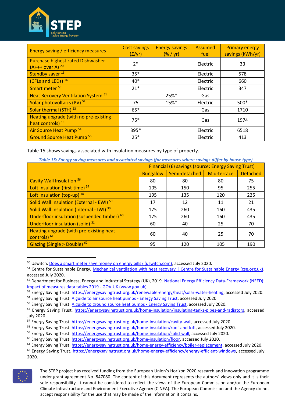

| Energy saving / efficiency measures                                   | <b>Cost savings</b><br>(f(yr)) | <b>Energy savings</b><br>(% / yr) | <b>Assumed</b><br>fuel | <b>Primary energy</b><br>savings (kWh/yr) |
|-----------------------------------------------------------------------|--------------------------------|-----------------------------------|------------------------|-------------------------------------------|
| <b>Purchase highest rated Dishwasher</b><br>$(A++ over A)^{20}$       | $2*$                           |                                   | Electric               | 33                                        |
| Standby saver <sup>16</sup>                                           | $35*$                          |                                   | Electric               | 578                                       |
| (CFLs and LEDs) 16                                                    | 40*                            |                                   | Electric               | 660                                       |
| Smart meter <sup>50</sup>                                             | $21*$                          |                                   | Electric               | 347                                       |
| Heat Recovery Ventilation System <sup>51</sup>                        |                                | 25%*                              | Gas                    |                                           |
| Solar photovoltaics (PV) 52                                           | 75                             | 15%*                              | Electric               | $500*$                                    |
| Solar thermal (STH) <sup>53</sup>                                     | $65*$                          |                                   | Gas                    | 1710                                      |
| Heating upgrade (with no pre-existing<br>heat controls) <sup>16</sup> | $75*$                          |                                   | Gas                    | 1974                                      |
| Air Source Heat Pump <sup>54</sup>                                    | 395*                           |                                   | Electric               | 6518                                      |
| <b>Ground Source Heat Pump 55</b>                                     | $25*$                          |                                   | Electric               | 413                                       |

<span id="page-43-0"></span>[Table 15](#page-43-0) shows savings associated with insulation measures by type of property.

| Table 15: Energy saving measures and associated savings (for measures where savings differ by house type) |  |  |
|-----------------------------------------------------------------------------------------------------------|--|--|
|-----------------------------------------------------------------------------------------------------------|--|--|

|                                                           | <b>Financial (£) savings (source: Energy Saving Trust)</b> |               |             |                 |  |
|-----------------------------------------------------------|------------------------------------------------------------|---------------|-------------|-----------------|--|
|                                                           | <b>Bungalow</b>                                            | Semi-detached | Mid-terrace | <b>Detached</b> |  |
| Cavity Wall Insulation 56                                 | 80                                                         | 80            | 80          | 75              |  |
| Loft insulation (first-time) <sup>57</sup>                | 105                                                        | 150           | 95          | 255             |  |
| Loft insulation (top-up) 58                               | 195                                                        | 135           | 120         | 225             |  |
| Solid Wall Insulation (External - EWI) 59                 | 17                                                         | 12            | 11          | 21              |  |
| Solid Wall Insulation (Internal - IWI) 30                 | 175                                                        | 260           | 160         | 435             |  |
| Underfloor insulation (suspended timber) 60               | 175                                                        | 260           | 160         | 435             |  |
| Underfloor insulation (solid) 31                          | 60                                                         | 40            | 25          | 70              |  |
| Heating upgrade (with pre-existing heat<br>controls) $61$ | 60                                                         | 40            | 25          | 70              |  |
| Glazing (Single > Double) $62$                            | 95                                                         | 120           | 105         | 190             |  |

<sup>&</sup>lt;sup>50</sup> Uswitch. [Does a smart meter save money on energy bills? \(uswitch.com\),](https://www.uswitch.com/gas-electricity/guides/energy-smart-meter-money-saving/) accessed July 2020.

<sup>62</sup> Energy Saving Trust. [https://energysavingtrust.org.uk/home-energy-efficiency/energy-efficient-windows,](https://energysavingtrust.org.uk/home-energy-efficiency/energy-efficient-windows) accessed July 2020.



The STEP project has received funding from the European Union's Horizon 2020 research and innovation programme under grant agreement No. 847080. The content of this document represents the authors' views only and it is their sole responsibility. It cannot be considered to reflect the views of the European Commission and/or the European Climate Infrastructure and Environment Executive Agency (CINEA). The European Commission and the Agency do not accept responsibility for the use that may be made of the information it contains.

<sup>&</sup>lt;sup>51</sup> Centre for Sustainable Energy. [Mechanical ventilation with heat recovery | Centre for Sustainable Energy \(cse.org.uk\),](https://www.cse.org.uk/advice/advice-and-support/mechanical-ventilation-with-heat-recovery) accessed July 2020.

<sup>&</sup>lt;sup>52</sup> Department for Business, Energy and Industrial Strategy (UK), 2019. National Energy Efficiency Data-Framework (NEED): [impact of measures data tables 2019 -](https://www.gov.uk/government/statistics/national-energy-efficiency-data-framework-need-impact-of-measures-data-tables-2019) GOV.UK (www.gov.uk)

<sup>53</sup> Energy Saving Trust[. https://energysavingtrust.org.uk/renewable-energy/heat/solar-water-heating,](https://energysavingtrust.org.uk/renewable-energy/heat/solar-water-heating) accessed July 2020.

<sup>54</sup> Energy Saving Trust. A guide to [air source heat pumps -](https://energysavingtrust.org.uk/advice/air-source-heat-pumps/) Energy Saving Trust, accessed July 2020.

<sup>&</sup>lt;sup>55</sup> Energy Saving Trust[. A guide to ground source heat pumps -](https://energysavingtrust.org.uk/advice/ground-source-heat-pumps/) Energy Saving Trust, accessed July 2020.

<sup>56</sup> Energy Saving Trust. [https://energysavingtrust.org.uk/home-insulation/insulating-tanks-pipes-and-radiators,](https://energysavingtrust.org.uk/home-insulation/insulating-tanks-pipes-and-radiators) accessed July 2020

<sup>57</sup> Energy Saving Trust[. https://energysavingtrust.org.uk/home-insulation/cavity-wall,](https://energysavingtrust.org.uk/home-insulation/cavity-wall) accessed July 2020.

<sup>&</sup>lt;sup>58</sup> Energy Saving Trust[. https://energysavingtrust.org.uk/home-insulation/roof-and-loft,](https://energysavingtrust.org.uk/home-insulation/roof-and-loft) accessed July 2020.

<sup>59</sup> Energy Saving Trust[. https://energysavingtrust.org.uk/home-insulation/solid-wall,](https://energysavingtrust.org.uk/home-insulation/solid-wall) accessed July 2020.

<sup>&</sup>lt;sup>60</sup> Energy Saving Trust[. https://energysavingtrust.org.uk/home-insulation/floor,](https://energysavingtrust.org.uk/home-insulation/floor) accessed July 2020.

<sup>&</sup>lt;sup>61</sup> Energy Saving Trust[. https://energysavingtrust.org.uk/home-energy-efficiency/boiler-replacement,](https://energysavingtrust.org.uk/home-energy-efficiency/boiler-replacement) accessed July 2020.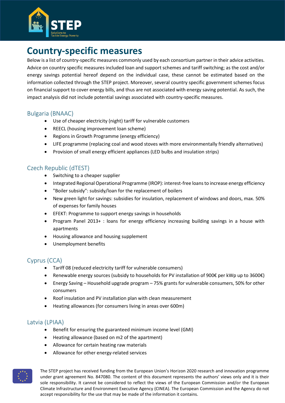

## **Country-specific measures**

Below is a list of country-specific measures commonly used by each consortium partner in their advice activities. Advice on country specific measures included loan and support schemes and tariff switching; as the cost and/or energy savings potential hereof depend on the individual case, these cannot be estimated based on the information collected through the STEP project. Moreover, several country specific government schemes focus on financial support to cover energy bills, and thus are not associated with energy saving potential. As such, the impact analysis did not include potential savings associated with country-specific measures.

#### Bulgaria (BNAAC)

- Use of cheaper electricity (night) tariff for vulnerable customers
- REECL (housing improvement loan scheme)
- Regions in Growth Programme (energy efficiency)
- LIFE programme (replacing coal and wood stoves with more environmentally friendly alternatives)
- Provision of small energy efficient appliances (LED bulbs and insulation strips)

#### Czech Republic (dTEST)

- Switching to a cheaper supplier
- Integrated Regional Operational Programme (IROP): interest-free loans to increase energy efficiency
- "Boiler subsidy": subsidy/loan for the replacement of boilers
- New green light for savings: subsidies for insulation, replacement of windows and doors, max. 50% of expenses for family houses
- EFEKT: Programme to support energy savings in households
- Program Panel 2013+ : loans for energy efficiency increasing building savings in a house with apartments
- Housing allowance and housing supplement
- Unemployment benefits

#### Cyprus (CCA)

- Tariff 08 (reduced electricity tariff for vulnerable consumers)
- Renewable energy sources (subsidy to households for PV installation of 900€ per kWp up to 3600€)
- Energy Saving Household upgrade program 75% grants for vulnerable consumers, 50% for other consumers
- Roof insulation and PV installation plan with clean measurement
- Heating allowances (for consumers living in areas over 600m)

#### Latvia (LPIAA)

- Benefit for ensuring the guaranteed minimum income level (GMI)
- Heating allowance (based on m2 of the apartment)
- Allowance for certain heating raw materials
- Allowance for other energy-related services

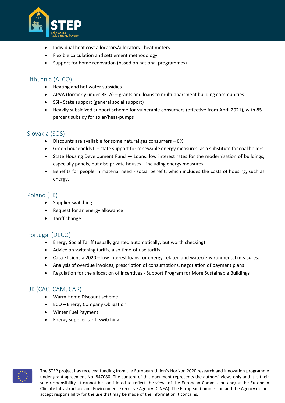

- Individual heat cost allocators/allocators heat meters
- Flexible calculation and settlement methodology
- Support for home renovation (based on national programmes)

#### Lithuania (ALCO)

- Heating and hot water subsidies
- APVA (formerly under BETA) grants and loans to multi-apartment building communities
- SSI State support (general social support)
- Heavily subsidized support scheme for vulnerable consumers (effective from April 2021), with 85+ percent subsidy for solar/heat-pumps

#### Slovakia (SOS)

- Discounts are available for some natural gas consumers  $-6\%$
- Green households II state support for renewable energy measures, as a substitute for coal boilers.
- State Housing Development Fund Loans: low interest rates for the modernisation of buildings, especially panels, but also private houses – including energy measures.
- Benefits for people in material need social benefit, which includes the costs of housing, such as energy.

#### Poland (FK)

- Supplier switching
- Request for an energy allowance
- Tariff change

#### Portugal (DECO)

- Energy Social Tariff (usually granted automatically, but worth checking)
- Advice on switching tariffs, also time-of-use tariffs
- Casa Eficiencia 2020 low interest loans for energy-related and water/environmental measures.
- Analysis of overdue invoices, prescription of consumptions, negotiation of payment plans
- Regulation for the allocation of incentives Support Program for More Sustainable Buildings

#### UK (CAC, CAM, CAR)

- Warm Home Discount scheme
- ECO Energy Company Obligation
- Winter Fuel Payment
- Energy supplier tariff switching